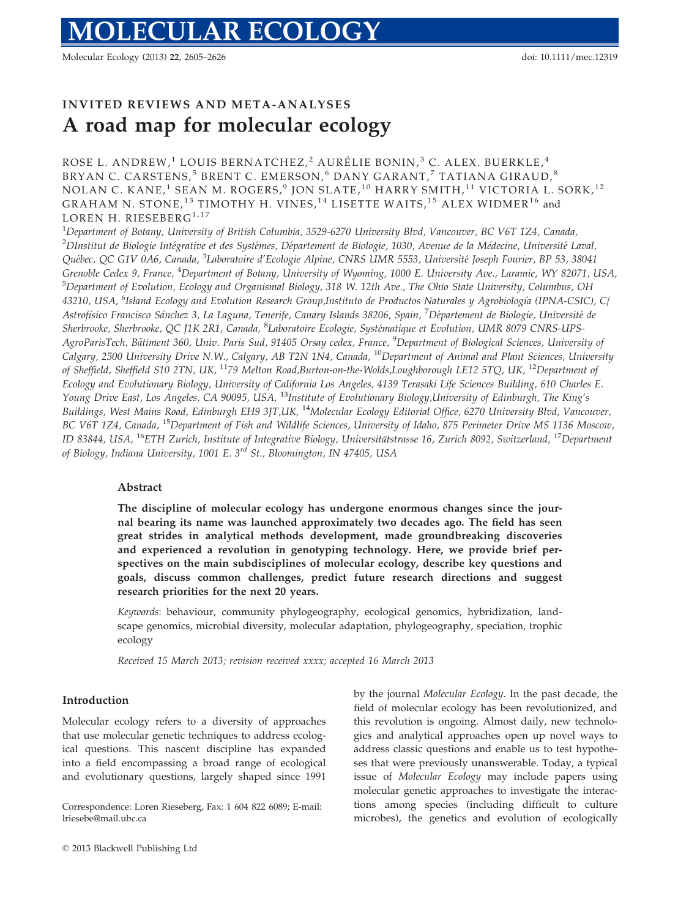Molecular Ecology (2013) 22, 2605–2626 doi: 10.1111/mec.12319

# INVITED REVIEWS AND META-ANALYSES A road map for molecular ecology

ROSE L. ANDREW,<sup>1</sup> LOUIS BERNATCHEZ,<sup>2</sup> AURÉLIE BONIN,<sup>3</sup> C. ALEX. BUERKLE,<sup>4</sup> BRYAN C. CARSTENS,<sup>5</sup> BRENT C. EMERSON,<sup>6</sup> DANY GARANT,<sup>7</sup> TATIANA GIRAUD,<sup>8</sup> NOLAN C. KANE,<sup>1</sup> SEAN M. ROGERS,<sup>9</sup> JON SLATE,<sup>10</sup> HARRY SMITH,<sup>11</sup> VICTORIA L. SORK,<sup>12</sup> GRAHAM N. STONE,<sup>13</sup> TIMOTHY H. VINES,<sup>14</sup> LISETTE WAITS,<sup>15</sup> ALEX WIDMER<sup>16</sup> and LOREN H. RIESEBERG<sup>1,17</sup>

<sup>1</sup>Department of Botany, University of British Columbia, 3529-6270 University Blvd, Vancouver, BC V6T 1Z4, Canada, <sup>2</sup>DInstitut de Biologie Intégrative et des Systémes, Département de Biologie, 1030, Avenue de la Médecine, Université Laval, Québec, QC G1V 0A6, Canada, <sup>3</sup>Laboratoire d'Ecologie Alpine, CNRS UMR 5553, Université Joseph Fourier, BP 53, 38041 Grenoble Cedex 9, France, <sup>4</sup>Department of Botany, University of Wyoming, 1000 E. University Ave., Laramie, WY 82071, USA, <sup>5</sup>Department of Evolution, Ecology and Organismal Biology, 318 W. 12th Ave., The Ohio State University, Columbus, OH 43210, USA, <sup>6</sup>Island Ecology and Evolution Research Group,Instituto de Productos Naturales y Agrobiología (IPNA-CSIC), C<sub>l</sub> Astrofísico Francisco Sánchez 3, La Laguna, Tenerife, Canary Islands 38206, Spain, <sup>7</sup>Département de Biologie, Université de Sherbrooke, Sherbrooke, QC J1K 2R1, Canada, <sup>8</sup>Laboratoire Ecologie, Systématique et Evolution, UMR 8079 CNRS-UPS-AgroParisTech, Bâtiment 360, Univ. Paris Sud, 91405 Orsay cedex, France, <sup>9</sup>Department of Biological Sciences, University of Calgary, 2500 University Drive N.W., Calgary, AB T2N 1N4, Canada, <sup>10</sup>Department of Animal and Plant Sciences, University of Sheffield, Sheffield S10 2TN, UK, <sup>11</sup>79 Melton Road,Burton-on-the-Wolds,Loughborough LE12 5TO, UK, <sup>12</sup>Department of Ecology and Evolutionary Biology, University of California Los Angeles, 4139 Terasaki Life Sciences Building, 610 Charles E. Young Drive East, Los Angeles, CA 90095, USA, <sup>13</sup>Institute of Evolutionary Biology, University of Edinburgh, The King's Buildings, West Mains Road, Edinburgh EH9 3JT, UK, <sup>14</sup>Molecular Ecology Editorial Office, 6270 University Blvd, Vancouver, BC V6T 1Z4, Canada, <sup>15</sup>Department of Fish and Wildlife Sciences, University of Idaho, 875 Perimeter Drive MS 1136 Moscow, ID 83844, USA, <sup>16</sup>ETH Zurich, Institute of Integrative Biology, Universitätstrasse 16, Zurich 8092, Switzerland, <sup>17</sup>Department of Biology, Indiana University, 1001 E.  $3^{rd}$  St., Bloomington, IN 47405, USA

## Abstract

The discipline of molecular ecology has undergone enormous changes since the journal bearing its name was launched approximately two decades ago. The field has seen great strides in analytical methods development, made groundbreaking discoveries and experienced a revolution in genotyping technology. Here, we provide brief perspectives on the main subdisciplines of molecular ecology, describe key questions and goals, discuss common challenges, predict future research directions and suggest research priorities for the next 20 years.

Keywords: behaviour, community phylogeography, ecological genomics, hybridization, landscape genomics, microbial diversity, molecular adaptation, phylogeography, speciation, trophic ecology

Received 15 March 2013; revision received xxxx; accepted 16 March 2013

## Introduction

Molecular ecology refers to a diversity of approaches that use molecular genetic techniques to address ecological questions. This nascent discipline has expanded into a field encompassing a broad range of ecological and evolutionary questions, largely shaped since 1991

Correspondence: Loren Rieseberg, Fax: 1 604 822 6089; E-mail: lriesebe@mail.ubc.ca

by the journal Molecular Ecology. In the past decade, the field of molecular ecology has been revolutionized, and this revolution is ongoing. Almost daily, new technologies and analytical approaches open up novel ways to address classic questions and enable us to test hypotheses that were previously unanswerable. Today, a typical issue of Molecular Ecology may include papers using molecular genetic approaches to investigate the interactions among species (including difficult to culture microbes), the genetics and evolution of ecologically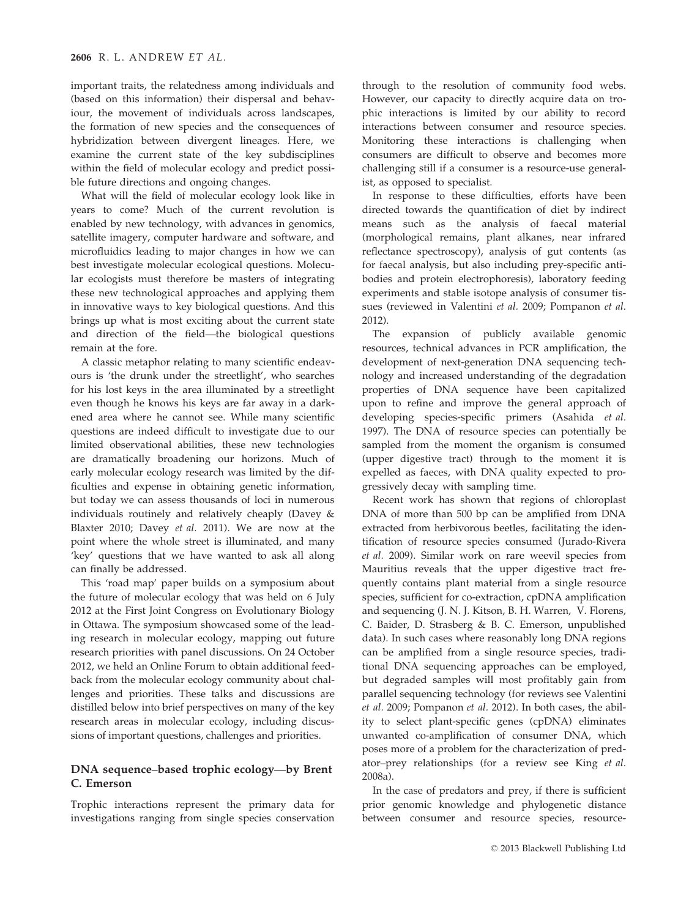important traits, the relatedness among individuals and (based on this information) their dispersal and behaviour, the movement of individuals across landscapes, the formation of new species and the consequences of hybridization between divergent lineages. Here, we examine the current state of the key subdisciplines within the field of molecular ecology and predict possible future directions and ongoing changes.

What will the field of molecular ecology look like in years to come? Much of the current revolution is enabled by new technology, with advances in genomics, satellite imagery, computer hardware and software, and microfluidics leading to major changes in how we can best investigate molecular ecological questions. Molecular ecologists must therefore be masters of integrating these new technological approaches and applying them in innovative ways to key biological questions. And this brings up what is most exciting about the current state and direction of the field—the biological questions remain at the fore.

A classic metaphor relating to many scientific endeavours is 'the drunk under the streetlight', who searches for his lost keys in the area illuminated by a streetlight even though he knows his keys are far away in a darkened area where he cannot see. While many scientific questions are indeed difficult to investigate due to our limited observational abilities, these new technologies are dramatically broadening our horizons. Much of early molecular ecology research was limited by the difficulties and expense in obtaining genetic information, but today we can assess thousands of loci in numerous individuals routinely and relatively cheaply (Davey & Blaxter 2010; Davey et al. 2011). We are now at the point where the whole street is illuminated, and many 'key' questions that we have wanted to ask all along can finally be addressed.

This 'road map' paper builds on a symposium about the future of molecular ecology that was held on 6 July 2012 at the First Joint Congress on Evolutionary Biology in Ottawa. The symposium showcased some of the leading research in molecular ecology, mapping out future research priorities with panel discussions. On 24 October 2012, we held an Online Forum to obtain additional feedback from the molecular ecology community about challenges and priorities. These talks and discussions are distilled below into brief perspectives on many of the key research areas in molecular ecology, including discussions of important questions, challenges and priorities.

# DNA sequence–based trophic ecology—by Brent C. Emerson

Trophic interactions represent the primary data for investigations ranging from single species conservation

through to the resolution of community food webs. However, our capacity to directly acquire data on trophic interactions is limited by our ability to record interactions between consumer and resource species. Monitoring these interactions is challenging when consumers are difficult to observe and becomes more challenging still if a consumer is a resource-use generalist, as opposed to specialist.

In response to these difficulties, efforts have been directed towards the quantification of diet by indirect means such as the analysis of faecal material (morphological remains, plant alkanes, near infrared reflectance spectroscopy), analysis of gut contents (as for faecal analysis, but also including prey-specific antibodies and protein electrophoresis), laboratory feeding experiments and stable isotope analysis of consumer tissues (reviewed in Valentini et al. 2009; Pompanon et al. 2012).

The expansion of publicly available genomic resources, technical advances in PCR amplification, the development of next-generation DNA sequencing technology and increased understanding of the degradation properties of DNA sequence have been capitalized upon to refine and improve the general approach of developing species-specific primers (Asahida et al. 1997). The DNA of resource species can potentially be sampled from the moment the organism is consumed (upper digestive tract) through to the moment it is expelled as faeces, with DNA quality expected to progressively decay with sampling time.

Recent work has shown that regions of chloroplast DNA of more than 500 bp can be amplified from DNA extracted from herbivorous beetles, facilitating the identification of resource species consumed (Jurado-Rivera et al. 2009). Similar work on rare weevil species from Mauritius reveals that the upper digestive tract frequently contains plant material from a single resource species, sufficient for co-extraction, cpDNA amplification and sequencing (J. N. J. Kitson, B. H. Warren, V. Florens, C. Baider, D. Strasberg & B. C. Emerson, unpublished data). In such cases where reasonably long DNA regions can be amplified from a single resource species, traditional DNA sequencing approaches can be employed, but degraded samples will most profitably gain from parallel sequencing technology (for reviews see Valentini et al. 2009; Pompanon et al. 2012). In both cases, the ability to select plant-specific genes (cpDNA) eliminates unwanted co-amplification of consumer DNA, which poses more of a problem for the characterization of predator–prey relationships (for a review see King et al. 2008a).

In the case of predators and prey, if there is sufficient prior genomic knowledge and phylogenetic distance between consumer and resource species, resource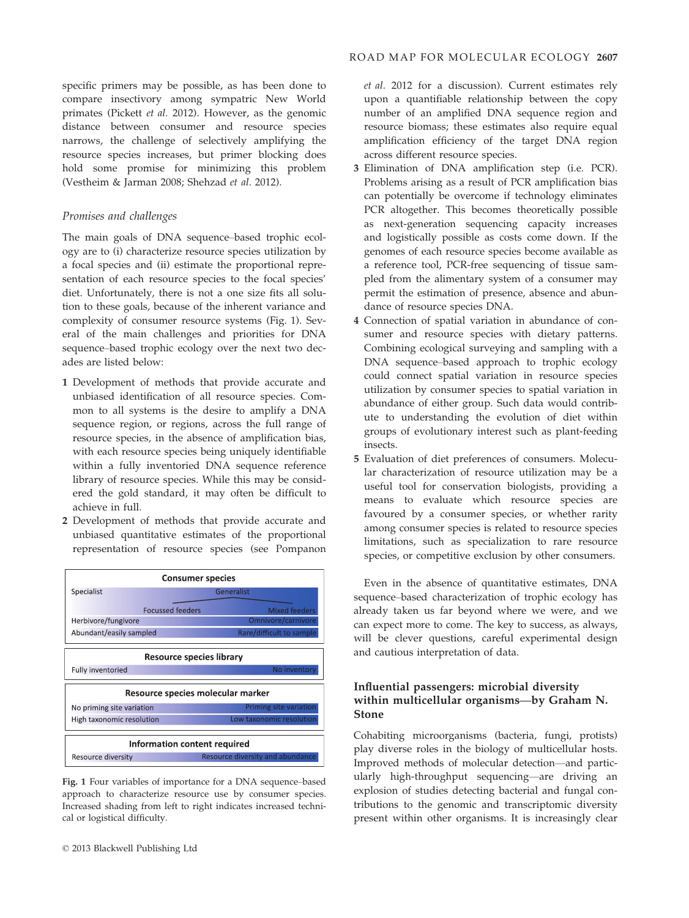specific primers may be possible, as has been done to compare insectivory among sympatric New World primates (Pickett et al. 2012). However, as the genomic distance between consumer and resource species narrows, the challenge of selectively amplifying the resource species increases, but primer blocking does hold some promise for minimizing this problem (Vestheim & Jarman 2008; Shehzad et al. 2012).

## Promises and challenges

The main goals of DNA sequence–based trophic ecology are to (i) characterize resource species utilization by a focal species and (ii) estimate the proportional representation of each resource species to the focal species' diet. Unfortunately, there is not a one size fits all solution to these goals, because of the inherent variance and complexity of consumer resource systems (Fig. 1). Several of the main challenges and priorities for DNA sequence–based trophic ecology over the next two decades are listed below:

- 1 Development of methods that provide accurate and unbiased identification of all resource species. Common to all systems is the desire to amplify a DNA sequence region, or regions, across the full range of resource species, in the absence of amplification bias, with each resource species being uniquely identifiable within a fully inventoried DNA sequence reference library of resource species. While this may be considered the gold standard, it may often be difficult to achieve in full.
- 2 Development of methods that provide accurate and unbiased quantitative estimates of the proportional representation of resource species (see Pompanon



Fig. 1 Four variables of importance for a DNA sequence–based approach to characterize resource use by consumer species. Increased shading from left to right indicates increased technical or logistical difficulty.

et al. 2012 for a discussion). Current estimates rely upon a quantifiable relationship between the copy number of an amplified DNA sequence region and resource biomass; these estimates also require equal amplification efficiency of the target DNA region across different resource species.

- 3 Elimination of DNA amplification step (i.e. PCR). Problems arising as a result of PCR amplification bias can potentially be overcome if technology eliminates PCR altogether. This becomes theoretically possible as next-generation sequencing capacity increases and logistically possible as costs come down. If the genomes of each resource species become available as a reference tool, PCR-free sequencing of tissue sampled from the alimentary system of a consumer may permit the estimation of presence, absence and abundance of resource species DNA.
- 4 Connection of spatial variation in abundance of consumer and resource species with dietary patterns. Combining ecological surveying and sampling with a DNA sequence–based approach to trophic ecology could connect spatial variation in resource species utilization by consumer species to spatial variation in abundance of either group. Such data would contribute to understanding the evolution of diet within groups of evolutionary interest such as plant-feeding insects.
- 5 Evaluation of diet preferences of consumers. Molecular characterization of resource utilization may be a useful tool for conservation biologists, providing a means to evaluate which resource species are favoured by a consumer species, or whether rarity among consumer species is related to resource species limitations, such as specialization to rare resource species, or competitive exclusion by other consumers.

Even in the absence of quantitative estimates, DNA sequence–based characterization of trophic ecology has already taken us far beyond where we were, and we can expect more to come. The key to success, as always, will be clever questions, careful experimental design and cautious interpretation of data.

# Influential passengers: microbial diversity within multicellular organisms—by Graham N. Stone

Cohabiting microorganisms (bacteria, fungi, protists) play diverse roles in the biology of multicellular hosts. Improved methods of molecular detection—and particularly high-throughput sequencing—are driving an explosion of studies detecting bacterial and fungal contributions to the genomic and transcriptomic diversity present within other organisms. It is increasingly clear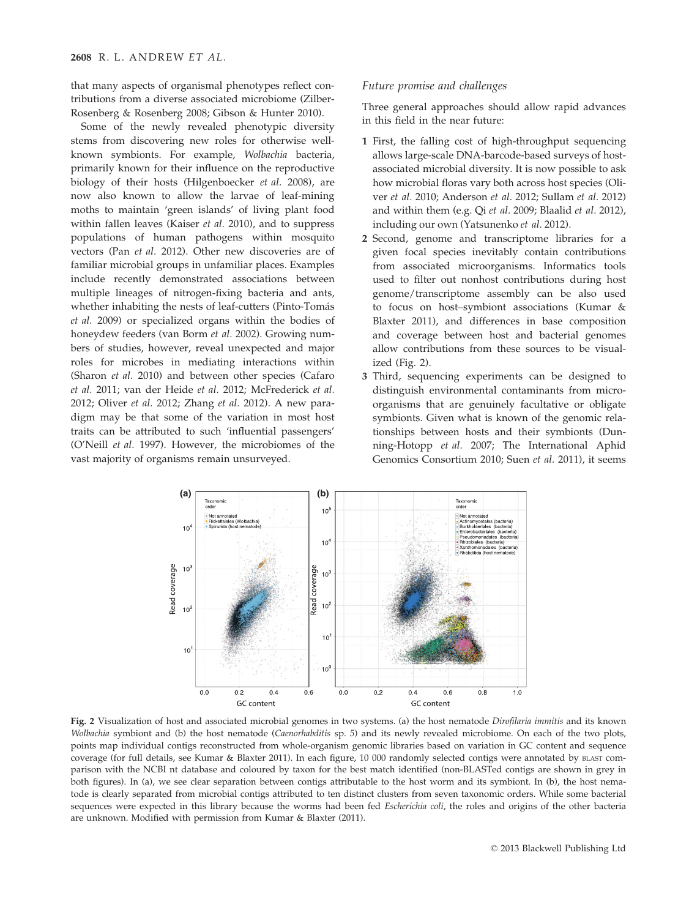that many aspects of organismal phenotypes reflect contributions from a diverse associated microbiome (Zilber-Rosenberg & Rosenberg 2008; Gibson & Hunter 2010).

Some of the newly revealed phenotypic diversity stems from discovering new roles for otherwise wellknown symbionts. For example, Wolbachia bacteria, primarily known for their influence on the reproductive biology of their hosts (Hilgenboecker et al. 2008), are now also known to allow the larvae of leaf-mining moths to maintain 'green islands' of living plant food within fallen leaves (Kaiser et al. 2010), and to suppress populations of human pathogens within mosquito vectors (Pan et al. 2012). Other new discoveries are of familiar microbial groups in unfamiliar places. Examples include recently demonstrated associations between multiple lineages of nitrogen-fixing bacteria and ants, whether inhabiting the nests of leaf-cutters (Pinto-Tomás et al. 2009) or specialized organs within the bodies of honeydew feeders (van Borm et al. 2002). Growing numbers of studies, however, reveal unexpected and major roles for microbes in mediating interactions within (Sharon et al. 2010) and between other species (Cafaro et al. 2011; van der Heide et al. 2012; McFrederick et al. 2012; Oliver et al. 2012; Zhang et al. 2012). A new paradigm may be that some of the variation in most host traits can be attributed to such 'influential passengers' (O'Neill et al. 1997). However, the microbiomes of the vast majority of organisms remain unsurveyed.

#### Future promise and challenges

Three general approaches should allow rapid advances in this field in the near future:

- 1 First, the falling cost of high-throughput sequencing allows large-scale DNA-barcode-based surveys of hostassociated microbial diversity. It is now possible to ask how microbial floras vary both across host species (Oliver et al. 2010; Anderson et al. 2012; Sullam et al. 2012) and within them (e.g. Qi et al. 2009; Blaalid et al. 2012), including our own (Yatsunenko et al. 2012).
- 2 Second, genome and transcriptome libraries for a given focal species inevitably contain contributions from associated microorganisms. Informatics tools used to filter out nonhost contributions during host genome/transcriptome assembly can be also used to focus on host–symbiont associations (Kumar & Blaxter 2011), and differences in base composition and coverage between host and bacterial genomes allow contributions from these sources to be visualized (Fig. 2).
- 3 Third, sequencing experiments can be designed to distinguish environmental contaminants from microorganisms that are genuinely facultative or obligate symbionts. Given what is known of the genomic relationships between hosts and their symbionts (Dunning-Hotopp et al. 2007; The International Aphid Genomics Consortium 2010; Suen et al. 2011), it seems



Fig. 2 Visualization of host and associated microbial genomes in two systems. (a) the host nematode Dirofilaria immitis and its known Wolbachia symbiont and (b) the host nematode (Caenorhabditis sp. 5) and its newly revealed microbiome. On each of the two plots, points map individual contigs reconstructed from whole-organism genomic libraries based on variation in GC content and sequence coverage (for full details, see Kumar & Blaxter 2011). In each figure, 10 000 randomly selected contigs were annotated by BLAST comparison with the NCBI nt database and coloured by taxon for the best match identified (non-BLASTed contigs are shown in grey in both figures). In (a), we see clear separation between contigs attributable to the host worm and its symbiont. In (b), the host nematode is clearly separated from microbial contigs attributed to ten distinct clusters from seven taxonomic orders. While some bacterial sequences were expected in this library because the worms had been fed Escherichia coli, the roles and origins of the other bacteria are unknown. Modified with permission from Kumar & Blaxter (2011).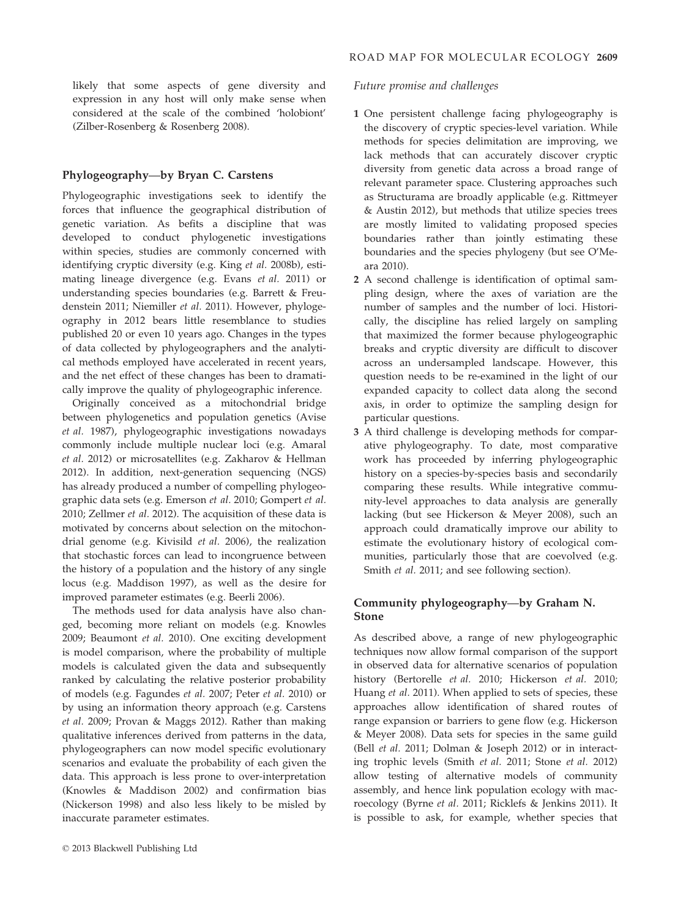likely that some aspects of gene diversity and expression in any host will only make sense when considered at the scale of the combined 'holobiont' (Zilber-Rosenberg & Rosenberg 2008).

# Phylogeography—by Bryan C. Carstens

Phylogeographic investigations seek to identify the forces that influence the geographical distribution of genetic variation. As befits a discipline that was developed to conduct phylogenetic investigations within species, studies are commonly concerned with identifying cryptic diversity (e.g. King et al. 2008b), estimating lineage divergence (e.g. Evans et al. 2011) or understanding species boundaries (e.g. Barrett & Freudenstein 2011; Niemiller et al. 2011). However, phylogeography in 2012 bears little resemblance to studies published 20 or even 10 years ago. Changes in the types of data collected by phylogeographers and the analytical methods employed have accelerated in recent years, and the net effect of these changes has been to dramatically improve the quality of phylogeographic inference.

Originally conceived as a mitochondrial bridge between phylogenetics and population genetics (Avise et al. 1987), phylogeographic investigations nowadays commonly include multiple nuclear loci (e.g. Amaral et al. 2012) or microsatellites (e.g. Zakharov & Hellman 2012). In addition, next-generation sequencing (NGS) has already produced a number of compelling phylogeographic data sets (e.g. Emerson et al. 2010; Gompert et al. 2010; Zellmer et al. 2012). The acquisition of these data is motivated by concerns about selection on the mitochondrial genome (e.g. Kivisild et al. 2006), the realization that stochastic forces can lead to incongruence between the history of a population and the history of any single locus (e.g. Maddison 1997), as well as the desire for improved parameter estimates (e.g. Beerli 2006).

The methods used for data analysis have also changed, becoming more reliant on models (e.g. Knowles 2009; Beaumont et al. 2010). One exciting development is model comparison, where the probability of multiple models is calculated given the data and subsequently ranked by calculating the relative posterior probability of models (e.g. Fagundes et al. 2007; Peter et al. 2010) or by using an information theory approach (e.g. Carstens et al. 2009; Provan & Maggs 2012). Rather than making qualitative inferences derived from patterns in the data, phylogeographers can now model specific evolutionary scenarios and evaluate the probability of each given the data. This approach is less prone to over-interpretation (Knowles & Maddison 2002) and confirmation bias (Nickerson 1998) and also less likely to be misled by inaccurate parameter estimates.

#### Future promise and challenges

- 1 One persistent challenge facing phylogeography is the discovery of cryptic species-level variation. While methods for species delimitation are improving, we lack methods that can accurately discover cryptic diversity from genetic data across a broad range of relevant parameter space. Clustering approaches such as Structurama are broadly applicable (e.g. Rittmeyer & Austin 2012), but methods that utilize species trees are mostly limited to validating proposed species boundaries rather than jointly estimating these boundaries and the species phylogeny (but see O'Meara 2010).
- 2 A second challenge is identification of optimal sampling design, where the axes of variation are the number of samples and the number of loci. Historically, the discipline has relied largely on sampling that maximized the former because phylogeographic breaks and cryptic diversity are difficult to discover across an undersampled landscape. However, this question needs to be re-examined in the light of our expanded capacity to collect data along the second axis, in order to optimize the sampling design for particular questions.
- 3 A third challenge is developing methods for comparative phylogeography. To date, most comparative work has proceeded by inferring phylogeographic history on a species-by-species basis and secondarily comparing these results. While integrative community-level approaches to data analysis are generally lacking (but see Hickerson & Meyer 2008), such an approach could dramatically improve our ability to estimate the evolutionary history of ecological communities, particularly those that are coevolved (e.g. Smith et al. 2011; and see following section).

# Community phylogeography—by Graham N. Stone

As described above, a range of new phylogeographic techniques now allow formal comparison of the support in observed data for alternative scenarios of population history (Bertorelle et al. 2010; Hickerson et al. 2010; Huang *et al.* 2011). When applied to sets of species, these approaches allow identification of shared routes of range expansion or barriers to gene flow (e.g. Hickerson & Meyer 2008). Data sets for species in the same guild (Bell et al. 2011; Dolman & Joseph 2012) or in interacting trophic levels (Smith et al. 2011; Stone et al. 2012) allow testing of alternative models of community assembly, and hence link population ecology with macroecology (Byrne et al. 2011; Ricklefs & Jenkins 2011). It is possible to ask, for example, whether species that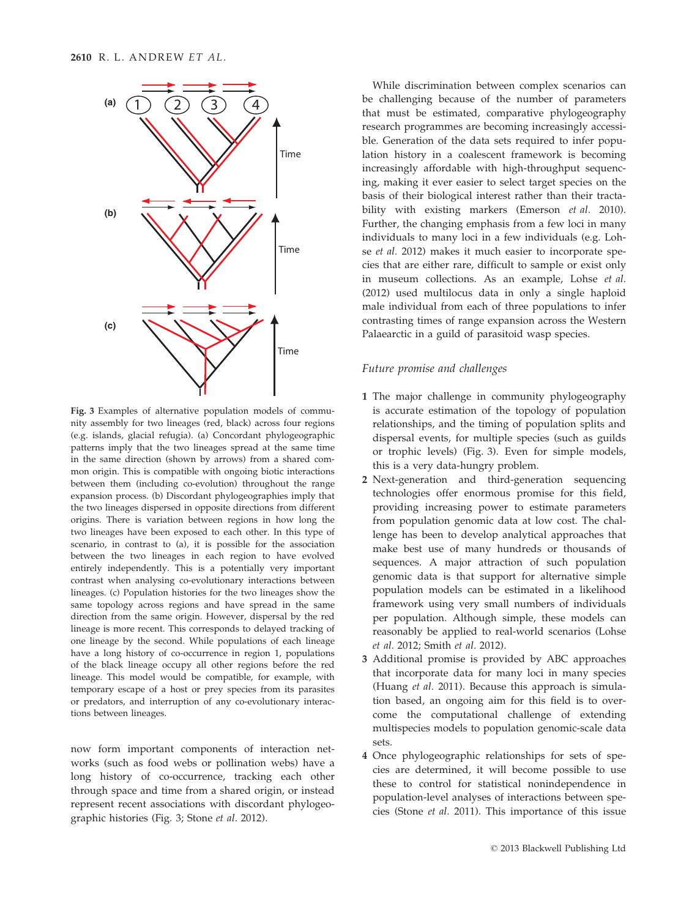

Fig. 3 Examples of alternative population models of community assembly for two lineages (red, black) across four regions (e.g. islands, glacial refugia). (a) Concordant phylogeographic patterns imply that the two lineages spread at the same time in the same direction (shown by arrows) from a shared common origin. This is compatible with ongoing biotic interactions between them (including co-evolution) throughout the range expansion process. (b) Discordant phylogeographies imply that the two lineages dispersed in opposite directions from different origins. There is variation between regions in how long the two lineages have been exposed to each other. In this type of scenario, in contrast to (a), it is possible for the association between the two lineages in each region to have evolved entirely independently. This is a potentially very important contrast when analysing co-evolutionary interactions between lineages. (c) Population histories for the two lineages show the same topology across regions and have spread in the same direction from the same origin. However, dispersal by the red lineage is more recent. This corresponds to delayed tracking of one lineage by the second. While populations of each lineage have a long history of co-occurrence in region 1, populations of the black lineage occupy all other regions before the red lineage. This model would be compatible, for example, with temporary escape of a host or prey species from its parasites or predators, and interruption of any co-evolutionary interactions between lineages.

now form important components of interaction networks (such as food webs or pollination webs) have a long history of co-occurrence, tracking each other through space and time from a shared origin, or instead represent recent associations with discordant phylogeographic histories (Fig. 3; Stone et al. 2012).

While discrimination between complex scenarios can be challenging because of the number of parameters that must be estimated, comparative phylogeography research programmes are becoming increasingly accessible. Generation of the data sets required to infer population history in a coalescent framework is becoming increasingly affordable with high-throughput sequencing, making it ever easier to select target species on the basis of their biological interest rather than their tractability with existing markers (Emerson et al. 2010). Further, the changing emphasis from a few loci in many individuals to many loci in a few individuals (e.g. Lohse et al. 2012) makes it much easier to incorporate species that are either rare, difficult to sample or exist only in museum collections. As an example, Lohse et al. (2012) used multilocus data in only a single haploid male individual from each of three populations to infer contrasting times of range expansion across the Western Palaearctic in a guild of parasitoid wasp species.

#### Future promise and challenges

- 1 The major challenge in community phylogeography is accurate estimation of the topology of population relationships, and the timing of population splits and dispersal events, for multiple species (such as guilds or trophic levels) (Fig. 3). Even for simple models, this is a very data-hungry problem.
- 2 Next-generation and third-generation sequencing technologies offer enormous promise for this field, providing increasing power to estimate parameters from population genomic data at low cost. The challenge has been to develop analytical approaches that make best use of many hundreds or thousands of sequences. A major attraction of such population genomic data is that support for alternative simple population models can be estimated in a likelihood framework using very small numbers of individuals per population. Although simple, these models can reasonably be applied to real-world scenarios (Lohse et al. 2012; Smith et al. 2012).
- 3 Additional promise is provided by ABC approaches that incorporate data for many loci in many species (Huang et al. 2011). Because this approach is simulation based, an ongoing aim for this field is to overcome the computational challenge of extending multispecies models to population genomic-scale data sets.
- 4 Once phylogeographic relationships for sets of species are determined, it will become possible to use these to control for statistical nonindependence in population-level analyses of interactions between species (Stone et al. 2011). This importance of this issue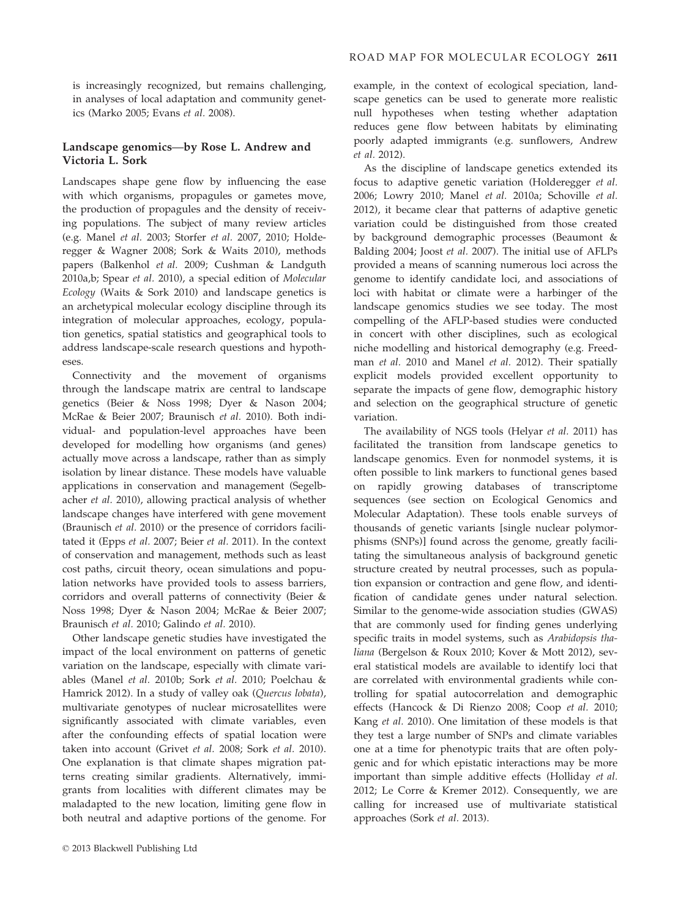is increasingly recognized, but remains challenging, in analyses of local adaptation and community genetics (Marko 2005; Evans et al. 2008).

# Landscape genomics—by Rose L. Andrew and Victoria L. Sork

Landscapes shape gene flow by influencing the ease with which organisms, propagules or gametes move, the production of propagules and the density of receiving populations. The subject of many review articles (e.g. Manel et al. 2003; Storfer et al. 2007, 2010; Holderegger & Wagner 2008; Sork & Waits 2010), methods papers (Balkenhol et al. 2009; Cushman & Landguth 2010a,b; Spear et al. 2010), a special edition of Molecular Ecology (Waits & Sork 2010) and landscape genetics is an archetypical molecular ecology discipline through its integration of molecular approaches, ecology, population genetics, spatial statistics and geographical tools to address landscape-scale research questions and hypotheses.

Connectivity and the movement of organisms through the landscape matrix are central to landscape genetics (Beier & Noss 1998; Dyer & Nason 2004; McRae & Beier 2007; Braunisch et al. 2010). Both individual- and population-level approaches have been developed for modelling how organisms (and genes) actually move across a landscape, rather than as simply isolation by linear distance. These models have valuable applications in conservation and management (Segelbacher et al. 2010), allowing practical analysis of whether landscape changes have interfered with gene movement (Braunisch et al. 2010) or the presence of corridors facilitated it (Epps et al. 2007; Beier et al. 2011). In the context of conservation and management, methods such as least cost paths, circuit theory, ocean simulations and population networks have provided tools to assess barriers, corridors and overall patterns of connectivity (Beier & Noss 1998; Dyer & Nason 2004; McRae & Beier 2007; Braunisch et al. 2010; Galindo et al. 2010).

Other landscape genetic studies have investigated the impact of the local environment on patterns of genetic variation on the landscape, especially with climate variables (Manel et al. 2010b; Sork et al. 2010; Poelchau & Hamrick 2012). In a study of valley oak (Quercus lobata), multivariate genotypes of nuclear microsatellites were significantly associated with climate variables, even after the confounding effects of spatial location were taken into account (Grivet et al. 2008; Sork et al. 2010). One explanation is that climate shapes migration patterns creating similar gradients. Alternatively, immigrants from localities with different climates may be maladapted to the new location, limiting gene flow in both neutral and adaptive portions of the genome. For

example, in the context of ecological speciation, landscape genetics can be used to generate more realistic null hypotheses when testing whether adaptation reduces gene flow between habitats by eliminating poorly adapted immigrants (e.g. sunflowers, Andrew et al. 2012).

As the discipline of landscape genetics extended its focus to adaptive genetic variation (Holderegger et al. 2006; Lowry 2010; Manel et al. 2010a; Schoville et al. 2012), it became clear that patterns of adaptive genetic variation could be distinguished from those created by background demographic processes (Beaumont & Balding 2004; Joost et al. 2007). The initial use of AFLPs provided a means of scanning numerous loci across the genome to identify candidate loci, and associations of loci with habitat or climate were a harbinger of the landscape genomics studies we see today. The most compelling of the AFLP-based studies were conducted in concert with other disciplines, such as ecological niche modelling and historical demography (e.g. Freedman et al. 2010 and Manel et al. 2012). Their spatially explicit models provided excellent opportunity to separate the impacts of gene flow, demographic history and selection on the geographical structure of genetic variation.

The availability of NGS tools (Helyar et al. 2011) has facilitated the transition from landscape genetics to landscape genomics. Even for nonmodel systems, it is often possible to link markers to functional genes based on rapidly growing databases of transcriptome sequences (see section on Ecological Genomics and Molecular Adaptation). These tools enable surveys of thousands of genetic variants [single nuclear polymorphisms (SNPs)] found across the genome, greatly facilitating the simultaneous analysis of background genetic structure created by neutral processes, such as population expansion or contraction and gene flow, and identification of candidate genes under natural selection. Similar to the genome-wide association studies (GWAS) that are commonly used for finding genes underlying specific traits in model systems, such as Arabidopsis thaliana (Bergelson & Roux 2010; Kover & Mott 2012), several statistical models are available to identify loci that are correlated with environmental gradients while controlling for spatial autocorrelation and demographic effects (Hancock & Di Rienzo 2008; Coop et al. 2010; Kang et al. 2010). One limitation of these models is that they test a large number of SNPs and climate variables one at a time for phenotypic traits that are often polygenic and for which epistatic interactions may be more important than simple additive effects (Holliday et al. 2012; Le Corre & Kremer 2012). Consequently, we are calling for increased use of multivariate statistical approaches (Sork et al. 2013).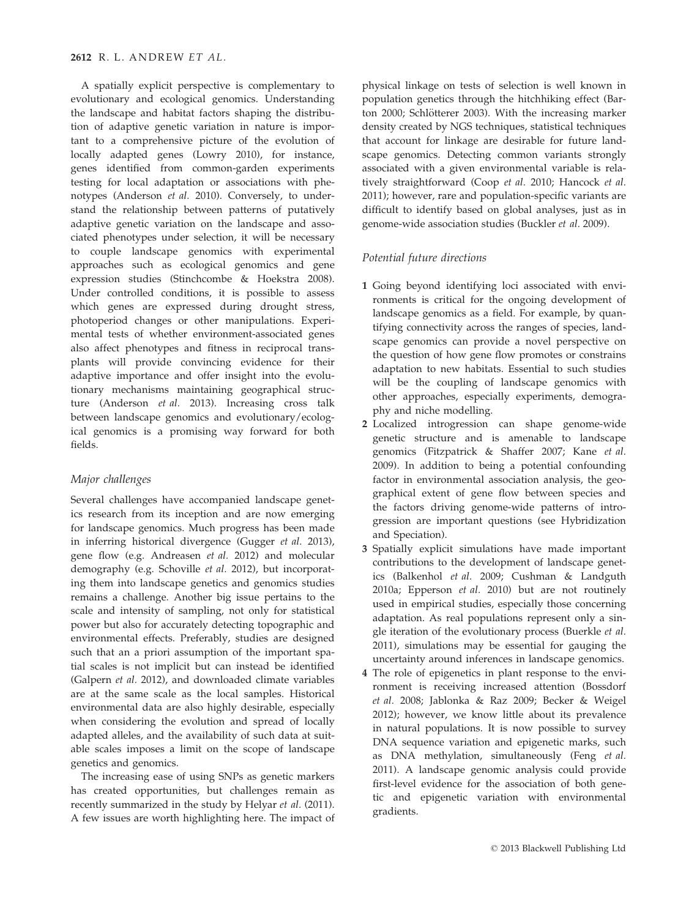A spatially explicit perspective is complementary to evolutionary and ecological genomics. Understanding the landscape and habitat factors shaping the distribution of adaptive genetic variation in nature is important to a comprehensive picture of the evolution of locally adapted genes (Lowry 2010), for instance, genes identified from common-garden experiments testing for local adaptation or associations with phenotypes (Anderson et al. 2010). Conversely, to understand the relationship between patterns of putatively adaptive genetic variation on the landscape and associated phenotypes under selection, it will be necessary to couple landscape genomics with experimental approaches such as ecological genomics and gene expression studies (Stinchcombe & Hoekstra 2008). Under controlled conditions, it is possible to assess which genes are expressed during drought stress, photoperiod changes or other manipulations. Experimental tests of whether environment-associated genes also affect phenotypes and fitness in reciprocal transplants will provide convincing evidence for their adaptive importance and offer insight into the evolutionary mechanisms maintaining geographical structure (Anderson et al. 2013). Increasing cross talk between landscape genomics and evolutionary/ecological genomics is a promising way forward for both fields.

## Major challenges

Several challenges have accompanied landscape genetics research from its inception and are now emerging for landscape genomics. Much progress has been made in inferring historical divergence (Gugger et al. 2013), gene flow (e.g. Andreasen et al. 2012) and molecular demography (e.g. Schoville et al. 2012), but incorporating them into landscape genetics and genomics studies remains a challenge. Another big issue pertains to the scale and intensity of sampling, not only for statistical power but also for accurately detecting topographic and environmental effects. Preferably, studies are designed such that an a priori assumption of the important spatial scales is not implicit but can instead be identified (Galpern et al. 2012), and downloaded climate variables are at the same scale as the local samples. Historical environmental data are also highly desirable, especially when considering the evolution and spread of locally adapted alleles, and the availability of such data at suitable scales imposes a limit on the scope of landscape genetics and genomics.

The increasing ease of using SNPs as genetic markers has created opportunities, but challenges remain as recently summarized in the study by Helyar et al. (2011). A few issues are worth highlighting here. The impact of physical linkage on tests of selection is well known in population genetics through the hitchhiking effect (Barton 2000; Schlötterer 2003). With the increasing marker density created by NGS techniques, statistical techniques that account for linkage are desirable for future landscape genomics. Detecting common variants strongly associated with a given environmental variable is relatively straightforward (Coop et al. 2010; Hancock et al. 2011); however, rare and population-specific variants are difficult to identify based on global analyses, just as in genome-wide association studies (Buckler et al. 2009).

# Potential future directions

- 1 Going beyond identifying loci associated with environments is critical for the ongoing development of landscape genomics as a field. For example, by quantifying connectivity across the ranges of species, landscape genomics can provide a novel perspective on the question of how gene flow promotes or constrains adaptation to new habitats. Essential to such studies will be the coupling of landscape genomics with other approaches, especially experiments, demography and niche modelling.
- 2 Localized introgression can shape genome-wide genetic structure and is amenable to landscape genomics (Fitzpatrick & Shaffer 2007; Kane et al. 2009). In addition to being a potential confounding factor in environmental association analysis, the geographical extent of gene flow between species and the factors driving genome-wide patterns of introgression are important questions (see Hybridization and Speciation).
- 3 Spatially explicit simulations have made important contributions to the development of landscape genetics (Balkenhol et al. 2009; Cushman & Landguth 2010a; Epperson et al. 2010) but are not routinely used in empirical studies, especially those concerning adaptation. As real populations represent only a single iteration of the evolutionary process (Buerkle et al. 2011), simulations may be essential for gauging the uncertainty around inferences in landscape genomics.
- 4 The role of epigenetics in plant response to the environment is receiving increased attention (Bossdorf et al. 2008; Jablonka & Raz 2009; Becker & Weigel 2012); however, we know little about its prevalence in natural populations. It is now possible to survey DNA sequence variation and epigenetic marks, such as DNA methylation, simultaneously (Feng et al. 2011). A landscape genomic analysis could provide first-level evidence for the association of both genetic and epigenetic variation with environmental gradients.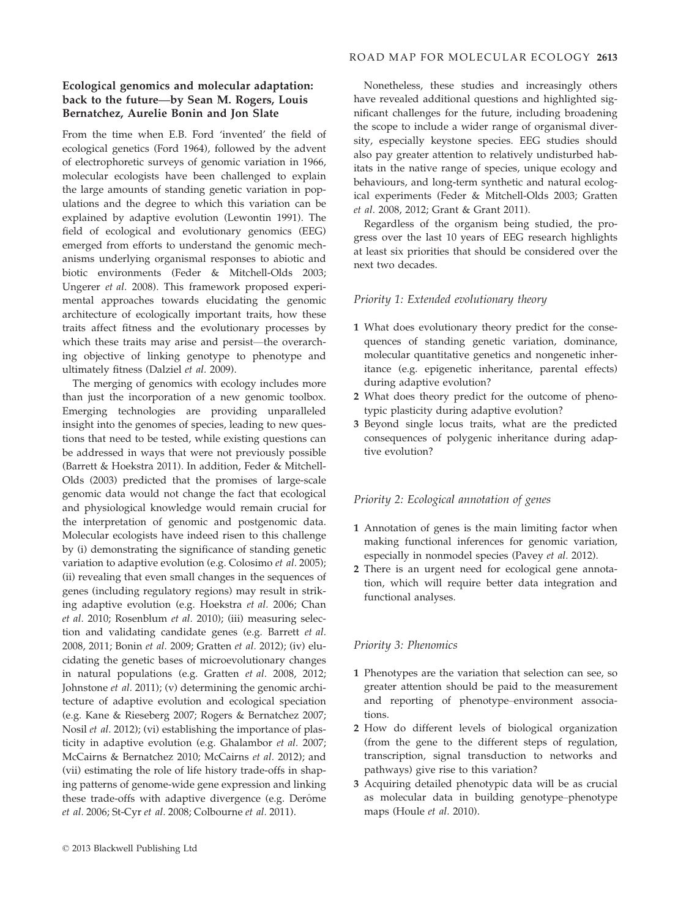## ROAD MAP FOR MOLECULAR ECOLOGY 2613

# Ecological genomics and molecular adaptation: back to the future—by Sean M. Rogers, Louis Bernatchez, Aurelie Bonin and Jon Slate

From the time when E.B. Ford 'invented' the field of ecological genetics (Ford 1964), followed by the advent of electrophoretic surveys of genomic variation in 1966, molecular ecologists have been challenged to explain the large amounts of standing genetic variation in populations and the degree to which this variation can be explained by adaptive evolution (Lewontin 1991). The field of ecological and evolutionary genomics (EEG) emerged from efforts to understand the genomic mechanisms underlying organismal responses to abiotic and biotic environments (Feder & Mitchell-Olds 2003; Ungerer et al. 2008). This framework proposed experimental approaches towards elucidating the genomic architecture of ecologically important traits, how these traits affect fitness and the evolutionary processes by which these traits may arise and persist—the overarching objective of linking genotype to phenotype and ultimately fitness (Dalziel et al. 2009).

The merging of genomics with ecology includes more than just the incorporation of a new genomic toolbox. Emerging technologies are providing unparalleled insight into the genomes of species, leading to new questions that need to be tested, while existing questions can be addressed in ways that were not previously possible (Barrett & Hoekstra 2011). In addition, Feder & Mitchell-Olds (2003) predicted that the promises of large-scale genomic data would not change the fact that ecological and physiological knowledge would remain crucial for the interpretation of genomic and postgenomic data. Molecular ecologists have indeed risen to this challenge by (i) demonstrating the significance of standing genetic variation to adaptive evolution (e.g. Colosimo et al. 2005); (ii) revealing that even small changes in the sequences of genes (including regulatory regions) may result in striking adaptive evolution (e.g. Hoekstra et al. 2006; Chan et al. 2010; Rosenblum et al. 2010); (iii) measuring selection and validating candidate genes (e.g. Barrett et al. 2008, 2011; Bonin et al. 2009; Gratten et al. 2012); (iv) elucidating the genetic bases of microevolutionary changes in natural populations (e.g. Gratten et al. 2008, 2012; Johnstone et al. 2011); (v) determining the genomic architecture of adaptive evolution and ecological speciation (e.g. Kane & Rieseberg 2007; Rogers & Bernatchez 2007; Nosil et al. 2012); (vi) establishing the importance of plasticity in adaptive evolution (e.g. Ghalambor et al. 2007; McCairns & Bernatchez 2010; McCairns et al. 2012); and (vii) estimating the role of life history trade-offs in shaping patterns of genome-wide gene expression and linking these trade-offs with adaptive divergence (e.g. Derôme et al. 2006; St-Cyr et al. 2008; Colbourne et al. 2011).

Nonetheless, these studies and increasingly others have revealed additional questions and highlighted significant challenges for the future, including broadening the scope to include a wider range of organismal diversity, especially keystone species. EEG studies should also pay greater attention to relatively undisturbed habitats in the native range of species, unique ecology and behaviours, and long-term synthetic and natural ecological experiments (Feder & Mitchell-Olds 2003; Gratten et al. 2008, 2012; Grant & Grant 2011).

Regardless of the organism being studied, the progress over the last 10 years of EEG research highlights at least six priorities that should be considered over the next two decades.

#### Priority 1: Extended evolutionary theory

- 1 What does evolutionary theory predict for the consequences of standing genetic variation, dominance, molecular quantitative genetics and nongenetic inheritance (e.g. epigenetic inheritance, parental effects) during adaptive evolution?
- 2 What does theory predict for the outcome of phenotypic plasticity during adaptive evolution?
- 3 Beyond single locus traits, what are the predicted consequences of polygenic inheritance during adaptive evolution?

## Priority 2: Ecological annotation of genes

- 1 Annotation of genes is the main limiting factor when making functional inferences for genomic variation, especially in nonmodel species (Pavey et al. 2012).
- 2 There is an urgent need for ecological gene annotation, which will require better data integration and functional analyses.

#### Priority 3: Phenomics

- 1 Phenotypes are the variation that selection can see, so greater attention should be paid to the measurement and reporting of phenotype–environment associations.
- 2 How do different levels of biological organization (from the gene to the different steps of regulation, transcription, signal transduction to networks and pathways) give rise to this variation?
- 3 Acquiring detailed phenotypic data will be as crucial as molecular data in building genotype–phenotype maps (Houle et al. 2010).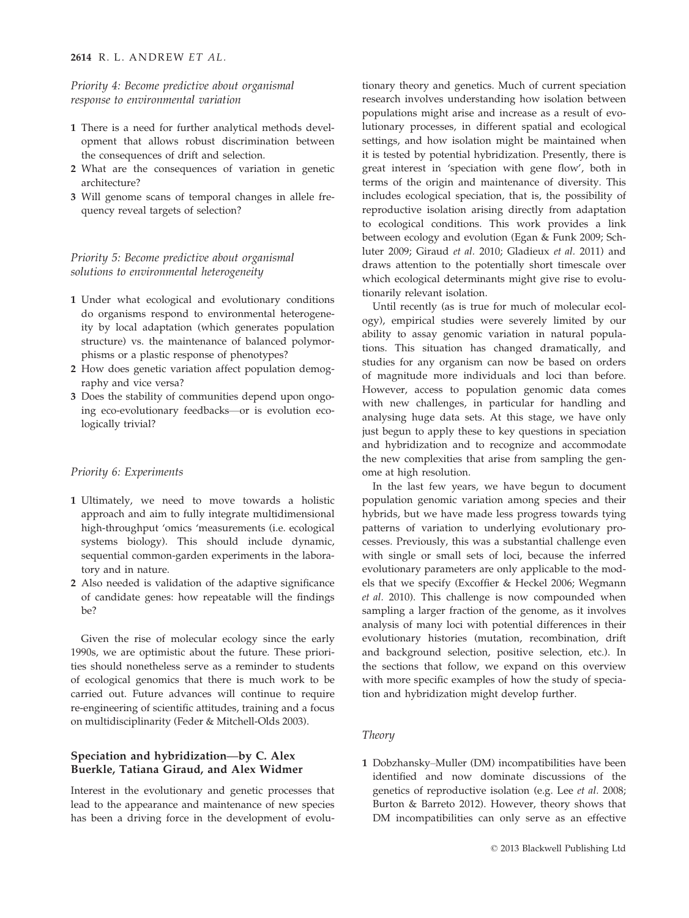Priority 4: Become predictive about organismal response to environmental variation

- 1 There is a need for further analytical methods development that allows robust discrimination between the consequences of drift and selection.
- 2 What are the consequences of variation in genetic architecture?
- 3 Will genome scans of temporal changes in allele frequency reveal targets of selection?

# Priority 5: Become predictive about organismal solutions to environmental heterogeneity

- 1 Under what ecological and evolutionary conditions do organisms respond to environmental heterogeneity by local adaptation (which generates population structure) vs. the maintenance of balanced polymorphisms or a plastic response of phenotypes?
- 2 How does genetic variation affect population demography and vice versa?
- 3 Does the stability of communities depend upon ongoing eco-evolutionary feedbacks—or is evolution ecologically trivial?

## Priority 6: Experiments

- 1 Ultimately, we need to move towards a holistic approach and aim to fully integrate multidimensional high-throughput 'omics 'measurements (i.e. ecological systems biology). This should include dynamic, sequential common-garden experiments in the laboratory and in nature.
- 2 Also needed is validation of the adaptive significance of candidate genes: how repeatable will the findings be?

Given the rise of molecular ecology since the early 1990s, we are optimistic about the future. These priorities should nonetheless serve as a reminder to students of ecological genomics that there is much work to be carried out. Future advances will continue to require re-engineering of scientific attitudes, training and a focus on multidisciplinarity (Feder & Mitchell-Olds 2003).

# Speciation and hybridization—by C. Alex Buerkle, Tatiana Giraud, and Alex Widmer

Interest in the evolutionary and genetic processes that lead to the appearance and maintenance of new species has been a driving force in the development of evolu-

tionary theory and genetics. Much of current speciation research involves understanding how isolation between populations might arise and increase as a result of evolutionary processes, in different spatial and ecological settings, and how isolation might be maintained when it is tested by potential hybridization. Presently, there is great interest in 'speciation with gene flow', both in terms of the origin and maintenance of diversity. This includes ecological speciation, that is, the possibility of reproductive isolation arising directly from adaptation to ecological conditions. This work provides a link between ecology and evolution (Egan & Funk 2009; Schluter 2009; Giraud et al. 2010; Gladieux et al. 2011) and draws attention to the potentially short timescale over which ecological determinants might give rise to evolutionarily relevant isolation.

Until recently (as is true for much of molecular ecology), empirical studies were severely limited by our ability to assay genomic variation in natural populations. This situation has changed dramatically, and studies for any organism can now be based on orders of magnitude more individuals and loci than before. However, access to population genomic data comes with new challenges, in particular for handling and analysing huge data sets. At this stage, we have only just begun to apply these to key questions in speciation and hybridization and to recognize and accommodate the new complexities that arise from sampling the genome at high resolution.

In the last few years, we have begun to document population genomic variation among species and their hybrids, but we have made less progress towards tying patterns of variation to underlying evolutionary processes. Previously, this was a substantial challenge even with single or small sets of loci, because the inferred evolutionary parameters are only applicable to the models that we specify (Excoffier & Heckel 2006; Wegmann et al. 2010). This challenge is now compounded when sampling a larger fraction of the genome, as it involves analysis of many loci with potential differences in their evolutionary histories (mutation, recombination, drift and background selection, positive selection, etc.). In the sections that follow, we expand on this overview with more specific examples of how the study of speciation and hybridization might develop further.

#### **Theory**

1 Dobzhansky–Muller (DM) incompatibilities have been identified and now dominate discussions of the genetics of reproductive isolation (e.g. Lee et al. 2008; Burton & Barreto 2012). However, theory shows that DM incompatibilities can only serve as an effective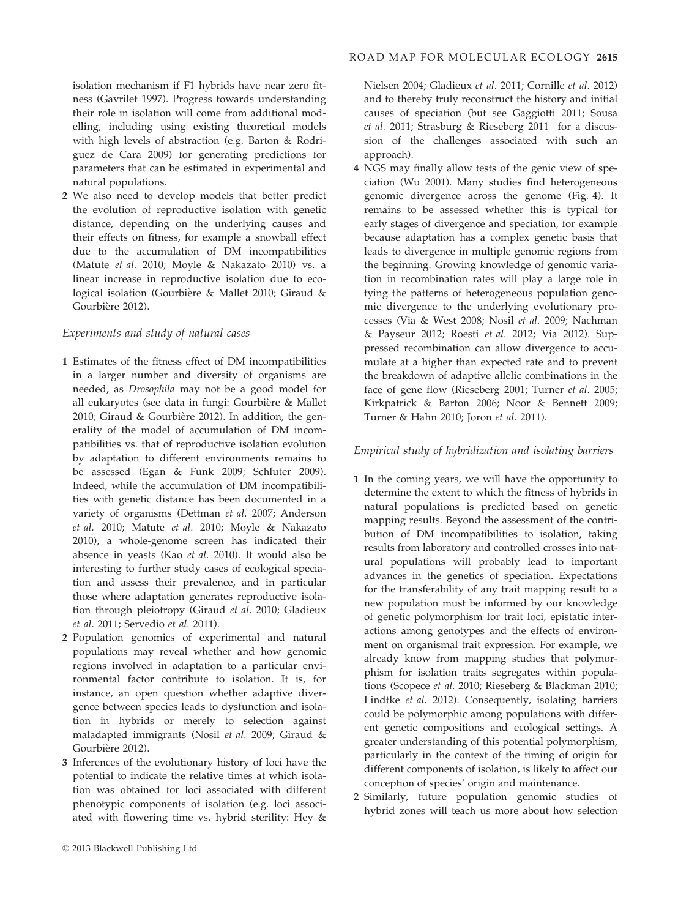isolation mechanism if F1 hybrids have near zero fitness (Gavrilet 1997). Progress towards understanding their role in isolation will come from additional modelling, including using existing theoretical models with high levels of abstraction (e.g. Barton & Rodriguez de Cara 2009) for generating predictions for parameters that can be estimated in experimental and natural populations.

2 We also need to develop models that better predict the evolution of reproductive isolation with genetic distance, depending on the underlying causes and their effects on fitness, for example a snowball effect due to the accumulation of DM incompatibilities (Matute et al. 2010; Moyle & Nakazato 2010) vs. a linear increase in reproductive isolation due to ecological isolation (Gourbière & Mallet 2010; Giraud & Gourbière 2012).

## Experiments and study of natural cases

- 1 Estimates of the fitness effect of DM incompatibilities in a larger number and diversity of organisms are needed, as Drosophila may not be a good model for all eukaryotes (see data in fungi: Gourbière & Mallet 2010; Giraud & Gourbière 2012). In addition, the generality of the model of accumulation of DM incompatibilities vs. that of reproductive isolation evolution by adaptation to different environments remains to be assessed (Egan & Funk 2009; Schluter 2009). Indeed, while the accumulation of DM incompatibilities with genetic distance has been documented in a variety of organisms (Dettman et al. 2007; Anderson et al. 2010; Matute et al. 2010; Moyle & Nakazato 2010), a whole-genome screen has indicated their absence in yeasts (Kao et al. 2010). It would also be interesting to further study cases of ecological speciation and assess their prevalence, and in particular those where adaptation generates reproductive isolation through pleiotropy (Giraud et al. 2010; Gladieux et al. 2011; Servedio et al. 2011).
- 2 Population genomics of experimental and natural populations may reveal whether and how genomic regions involved in adaptation to a particular environmental factor contribute to isolation. It is, for instance, an open question whether adaptive divergence between species leads to dysfunction and isolation in hybrids or merely to selection against maladapted immigrants (Nosil et al. 2009; Giraud & Gourbière 2012).
- 3 Inferences of the evolutionary history of loci have the potential to indicate the relative times at which isolation was obtained for loci associated with different phenotypic components of isolation (e.g. loci associated with flowering time vs. hybrid sterility: Hey &

Nielsen 2004; Gladieux et al. 2011; Cornille et al. 2012) and to thereby truly reconstruct the history and initial causes of speciation (but see Gaggiotti 2011; Sousa et al. 2011; Strasburg & Rieseberg 2011 for a discussion of the challenges associated with such an approach).

4 NGS may finally allow tests of the genic view of speciation (Wu 2001). Many studies find heterogeneous genomic divergence across the genome (Fig. 4). It remains to be assessed whether this is typical for early stages of divergence and speciation, for example because adaptation has a complex genetic basis that leads to divergence in multiple genomic regions from the beginning. Growing knowledge of genomic variation in recombination rates will play a large role in tying the patterns of heterogeneous population genomic divergence to the underlying evolutionary processes (Via & West 2008; Nosil et al. 2009; Nachman & Payseur 2012; Roesti et al. 2012; Via 2012). Suppressed recombination can allow divergence to accumulate at a higher than expected rate and to prevent the breakdown of adaptive allelic combinations in the face of gene flow (Rieseberg 2001; Turner et al. 2005; Kirkpatrick & Barton 2006; Noor & Bennett 2009; Turner & Hahn 2010; Joron et al. 2011).

#### Empirical study of hybridization and isolating barriers

- 1 In the coming years, we will have the opportunity to determine the extent to which the fitness of hybrids in natural populations is predicted based on genetic mapping results. Beyond the assessment of the contribution of DM incompatibilities to isolation, taking results from laboratory and controlled crosses into natural populations will probably lead to important advances in the genetics of speciation. Expectations for the transferability of any trait mapping result to a new population must be informed by our knowledge of genetic polymorphism for trait loci, epistatic interactions among genotypes and the effects of environment on organismal trait expression. For example, we already know from mapping studies that polymorphism for isolation traits segregates within populations (Scopece et al. 2010; Rieseberg & Blackman 2010; Lindtke et al. 2012). Consequently, isolating barriers could be polymorphic among populations with different genetic compositions and ecological settings. A greater understanding of this potential polymorphism, particularly in the context of the timing of origin for different components of isolation, is likely to affect our conception of species' origin and maintenance.
- 2 Similarly, future population genomic studies of hybrid zones will teach us more about how selection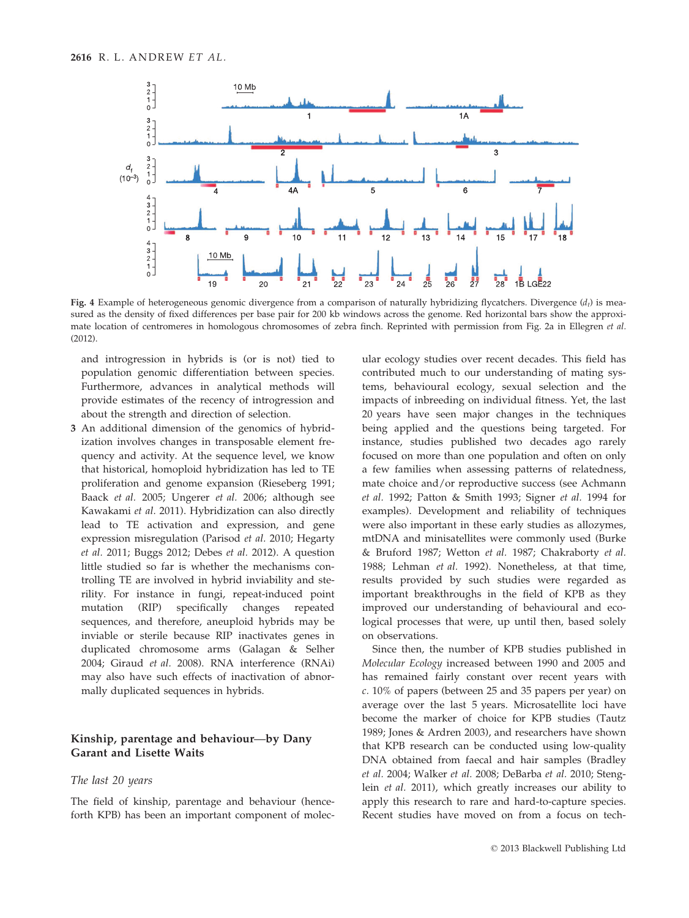

Fig. 4 Example of heterogeneous genomic divergence from a comparison of naturally hybridizing flycatchers. Divergence  $(d_t)$  is measured as the density of fixed differences per base pair for 200 kb windows across the genome. Red horizontal bars show the approximate location of centromeres in homologous chromosomes of zebra finch. Reprinted with permission from Fig. 2a in Ellegren et al. (2012).

and introgression in hybrids is (or is not) tied to population genomic differentiation between species. Furthermore, advances in analytical methods will provide estimates of the recency of introgression and about the strength and direction of selection.

3 An additional dimension of the genomics of hybridization involves changes in transposable element frequency and activity. At the sequence level, we know that historical, homoploid hybridization has led to TE proliferation and genome expansion (Rieseberg 1991; Baack et al. 2005; Ungerer et al. 2006; although see Kawakami et al. 2011). Hybridization can also directly lead to TE activation and expression, and gene expression misregulation (Parisod et al. 2010; Hegarty et al. 2011; Buggs 2012; Debes et al. 2012). A question little studied so far is whether the mechanisms controlling TE are involved in hybrid inviability and sterility. For instance in fungi, repeat-induced point mutation (RIP) specifically changes repeated sequences, and therefore, aneuploid hybrids may be inviable or sterile because RIP inactivates genes in duplicated chromosome arms (Galagan & Selher 2004; Giraud et al. 2008). RNA interference (RNAi) may also have such effects of inactivation of abnormally duplicated sequences in hybrids.

## Kinship, parentage and behaviour—by Dany Garant and Lisette Waits

#### The last 20 years

The field of kinship, parentage and behaviour (henceforth KPB) has been an important component of molec-

ular ecology studies over recent decades. This field has contributed much to our understanding of mating systems, behavioural ecology, sexual selection and the impacts of inbreeding on individual fitness. Yet, the last 20 years have seen major changes in the techniques being applied and the questions being targeted. For instance, studies published two decades ago rarely focused on more than one population and often on only a few families when assessing patterns of relatedness, mate choice and/or reproductive success (see Achmann et al. 1992; Patton & Smith 1993; Signer et al. 1994 for examples). Development and reliability of techniques were also important in these early studies as allozymes, mtDNA and minisatellites were commonly used (Burke & Bruford 1987; Wetton et al. 1987; Chakraborty et al. 1988; Lehman et al. 1992). Nonetheless, at that time, results provided by such studies were regarded as important breakthroughs in the field of KPB as they improved our understanding of behavioural and ecological processes that were, up until then, based solely on observations.

Since then, the number of KPB studies published in Molecular Ecology increased between 1990 and 2005 and has remained fairly constant over recent years with c. 10% of papers (between 25 and 35 papers per year) on average over the last 5 years. Microsatellite loci have become the marker of choice for KPB studies (Tautz 1989; Jones & Ardren 2003), and researchers have shown that KPB research can be conducted using low-quality DNA obtained from faecal and hair samples (Bradley et al. 2004; Walker et al. 2008; DeBarba et al. 2010; Stenglein et al. 2011), which greatly increases our ability to apply this research to rare and hard-to-capture species. Recent studies have moved on from a focus on tech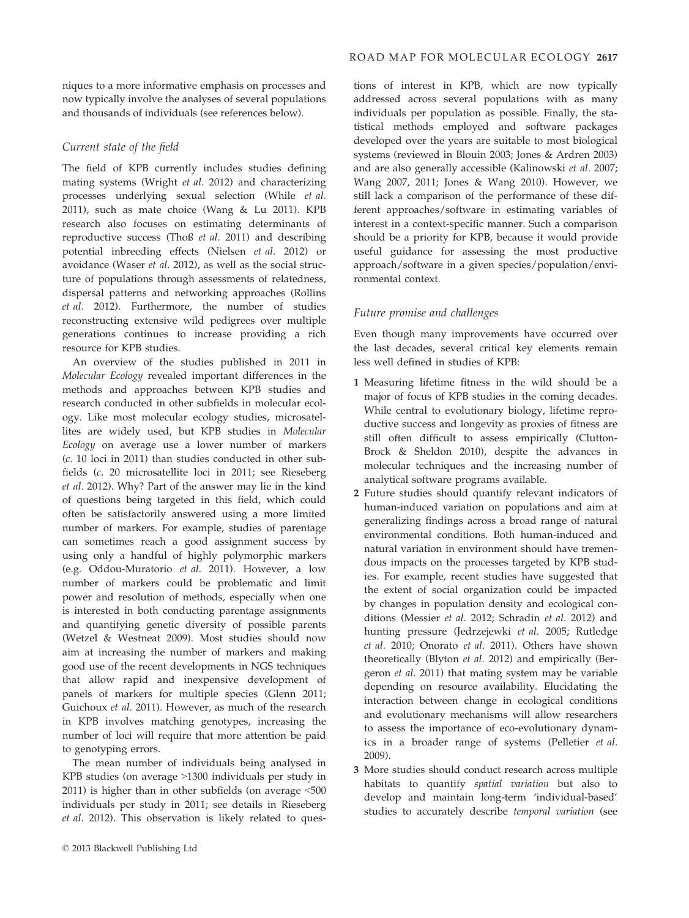niques to a more informative emphasis on processes and now typically involve the analyses of several populations and thousands of individuals (see references below).

# Current state of the field

The field of KPB currently includes studies defining mating systems (Wright et al. 2012) and characterizing processes underlying sexual selection (While et al. 2011), such as mate choice (Wang & Lu 2011). KPB research also focuses on estimating determinants of reproductive success (Thoß et al. 2011) and describing potential inbreeding effects (Nielsen et al. 2012) or avoidance (Waser et al. 2012), as well as the social structure of populations through assessments of relatedness, dispersal patterns and networking approaches (Rollins et al. 2012). Furthermore, the number of studies reconstructing extensive wild pedigrees over multiple generations continues to increase providing a rich resource for KPB studies.

An overview of the studies published in 2011 in Molecular Ecology revealed important differences in the methods and approaches between KPB studies and research conducted in other subfields in molecular ecology. Like most molecular ecology studies, microsatellites are widely used, but KPB studies in Molecular Ecology on average use a lower number of markers (c. 10 loci in 2011) than studies conducted in other subfields (c. 20 microsatellite loci in 2011; see Rieseberg et al. 2012). Why? Part of the answer may lie in the kind of questions being targeted in this field, which could often be satisfactorily answered using a more limited number of markers. For example, studies of parentage can sometimes reach a good assignment success by using only a handful of highly polymorphic markers (e.g. Oddou-Muratorio et al. 2011). However, a low number of markers could be problematic and limit power and resolution of methods, especially when one is interested in both conducting parentage assignments and quantifying genetic diversity of possible parents (Wetzel & Westneat 2009). Most studies should now aim at increasing the number of markers and making good use of the recent developments in NGS techniques that allow rapid and inexpensive development of panels of markers for multiple species (Glenn 2011; Guichoux et al. 2011). However, as much of the research in KPB involves matching genotypes, increasing the number of loci will require that more attention be paid to genotyping errors.

The mean number of individuals being analysed in KPB studies (on average >1300 individuals per study in 2011) is higher than in other subfields (on average <500 individuals per study in 2011; see details in Rieseberg et al. 2012). This observation is likely related to questions of interest in KPB, which are now typically addressed across several populations with as many individuals per population as possible. Finally, the statistical methods employed and software packages developed over the years are suitable to most biological systems (reviewed in Blouin 2003; Jones & Ardren 2003) and are also generally accessible (Kalinowski et al. 2007; Wang 2007, 2011; Jones & Wang 2010). However, we still lack a comparison of the performance of these different approaches/software in estimating variables of interest in a context-specific manner. Such a comparison should be a priority for KPB, because it would provide useful guidance for assessing the most productive approach/software in a given species/population/environmental context.

# Future promise and challenges

Even though many improvements have occurred over the last decades, several critical key elements remain less well defined in studies of KPB:

- 1 Measuring lifetime fitness in the wild should be a major of focus of KPB studies in the coming decades. While central to evolutionary biology, lifetime reproductive success and longevity as proxies of fitness are still often difficult to assess empirically (Clutton-Brock & Sheldon 2010), despite the advances in molecular techniques and the increasing number of analytical software programs available.
- 2 Future studies should quantify relevant indicators of human-induced variation on populations and aim at generalizing findings across a broad range of natural environmental conditions. Both human-induced and natural variation in environment should have tremendous impacts on the processes targeted by KPB studies. For example, recent studies have suggested that the extent of social organization could be impacted by changes in population density and ecological conditions (Messier et al. 2012; Schradin et al. 2012) and hunting pressure (Jedrzejewki et al. 2005; Rutledge et al. 2010; Onorato et al. 2011). Others have shown theoretically (Blyton et al. 2012) and empirically (Bergeron et al. 2011) that mating system may be variable depending on resource availability. Elucidating the interaction between change in ecological conditions and evolutionary mechanisms will allow researchers to assess the importance of eco-evolutionary dynamics in a broader range of systems (Pelletier et al. 2009).
- 3 More studies should conduct research across multiple habitats to quantify spatial variation but also to develop and maintain long-term 'individual-based' studies to accurately describe temporal variation (see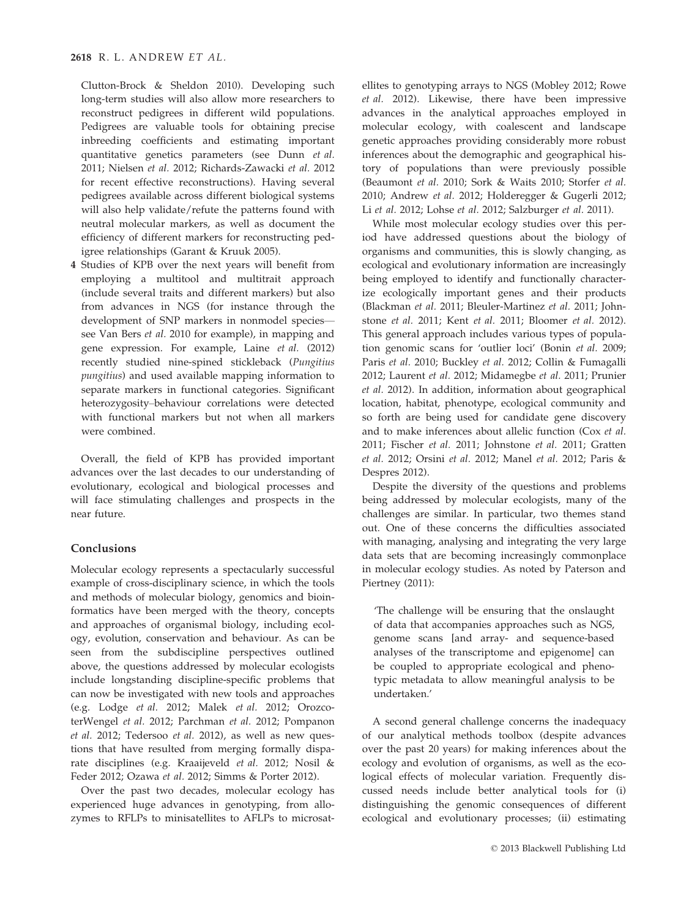Clutton-Brock & Sheldon 2010). Developing such long-term studies will also allow more researchers to reconstruct pedigrees in different wild populations. Pedigrees are valuable tools for obtaining precise inbreeding coefficients and estimating important quantitative genetics parameters (see Dunn et al. 2011; Nielsen et al. 2012; Richards-Zawacki et al. 2012 for recent effective reconstructions). Having several pedigrees available across different biological systems will also help validate/refute the patterns found with neutral molecular markers, as well as document the efficiency of different markers for reconstructing pedigree relationships (Garant & Kruuk 2005).

4 Studies of KPB over the next years will benefit from employing a multitool and multitrait approach (include several traits and different markers) but also from advances in NGS (for instance through the development of SNP markers in nonmodel species see Van Bers et al. 2010 for example), in mapping and gene expression. For example, Laine et al. (2012) recently studied nine-spined stickleback (Pungitius pungitius) and used available mapping information to separate markers in functional categories. Significant heterozygosity–behaviour correlations were detected with functional markers but not when all markers were combined.

Overall, the field of KPB has provided important advances over the last decades to our understanding of evolutionary, ecological and biological processes and will face stimulating challenges and prospects in the near future.

#### Conclusions

Molecular ecology represents a spectacularly successful example of cross-disciplinary science, in which the tools and methods of molecular biology, genomics and bioinformatics have been merged with the theory, concepts and approaches of organismal biology, including ecology, evolution, conservation and behaviour. As can be seen from the subdiscipline perspectives outlined above, the questions addressed by molecular ecologists include longstanding discipline-specific problems that can now be investigated with new tools and approaches (e.g. Lodge et al. 2012; Malek et al. 2012; OrozcoterWengel et al. 2012; Parchman et al. 2012; Pompanon et al. 2012; Tedersoo et al. 2012), as well as new questions that have resulted from merging formally disparate disciplines (e.g. Kraaijeveld et al. 2012; Nosil & Feder 2012; Ozawa et al. 2012; Simms & Porter 2012).

Over the past two decades, molecular ecology has experienced huge advances in genotyping, from allozymes to RFLPs to minisatellites to AFLPs to microsat-

ellites to genotyping arrays to NGS (Mobley 2012; Rowe et al. 2012). Likewise, there have been impressive advances in the analytical approaches employed in molecular ecology, with coalescent and landscape genetic approaches providing considerably more robust inferences about the demographic and geographical history of populations than were previously possible (Beaumont et al. 2010; Sork & Waits 2010; Storfer et al. 2010; Andrew et al. 2012; Holderegger & Gugerli 2012; Li et al. 2012; Lohse et al. 2012; Salzburger et al. 2011).

While most molecular ecology studies over this period have addressed questions about the biology of organisms and communities, this is slowly changing, as ecological and evolutionary information are increasingly being employed to identify and functionally characterize ecologically important genes and their products (Blackman et al. 2011; Bleuler-Martinez et al. 2011; Johnstone et al. 2011; Kent et al. 2011; Bloomer et al. 2012). This general approach includes various types of population genomic scans for 'outlier loci' (Bonin et al. 2009; Paris et al. 2010; Buckley et al. 2012; Collin & Fumagalli 2012; Laurent et al. 2012; Midamegbe et al. 2011; Prunier et al. 2012). In addition, information about geographical location, habitat, phenotype, ecological community and so forth are being used for candidate gene discovery and to make inferences about allelic function (Cox et al. 2011; Fischer et al. 2011; Johnstone et al. 2011; Gratten et al. 2012; Orsini et al. 2012; Manel et al. 2012; Paris & Despres 2012).

Despite the diversity of the questions and problems being addressed by molecular ecologists, many of the challenges are similar. In particular, two themes stand out. One of these concerns the difficulties associated with managing, analysing and integrating the very large data sets that are becoming increasingly commonplace in molecular ecology studies. As noted by Paterson and Piertney (2011):

'The challenge will be ensuring that the onslaught of data that accompanies approaches such as NGS, genome scans [and array- and sequence-based analyses of the transcriptome and epigenome] can be coupled to appropriate ecological and phenotypic metadata to allow meaningful analysis to be undertaken.'

A second general challenge concerns the inadequacy of our analytical methods toolbox (despite advances over the past 20 years) for making inferences about the ecology and evolution of organisms, as well as the ecological effects of molecular variation. Frequently discussed needs include better analytical tools for (i) distinguishing the genomic consequences of different ecological and evolutionary processes; (ii) estimating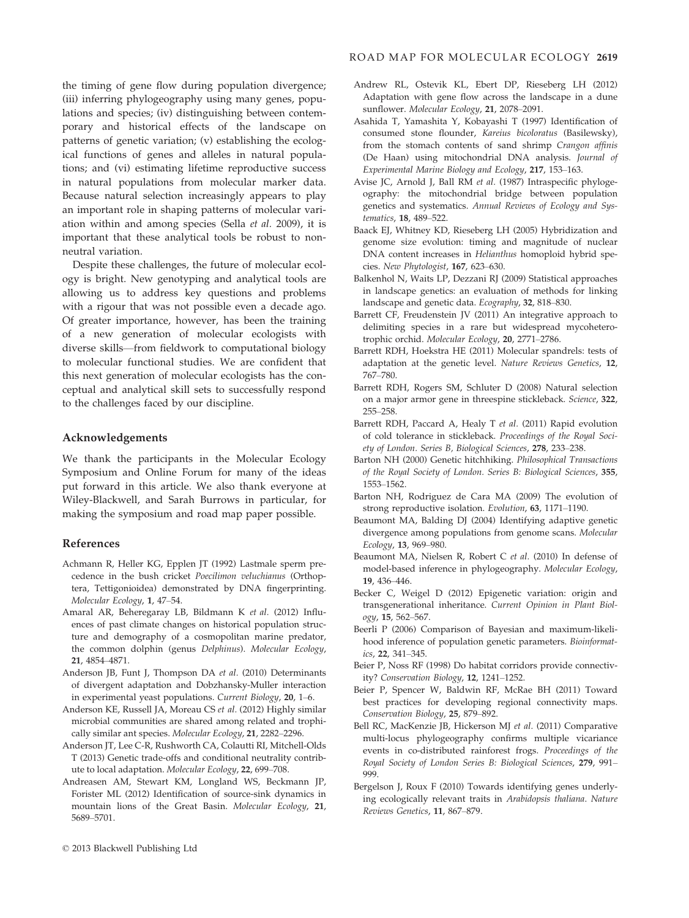the timing of gene flow during population divergence; (iii) inferring phylogeography using many genes, populations and species; (iv) distinguishing between contemporary and historical effects of the landscape on patterns of genetic variation; (v) establishing the ecological functions of genes and alleles in natural populations; and (vi) estimating lifetime reproductive success in natural populations from molecular marker data. Because natural selection increasingly appears to play an important role in shaping patterns of molecular variation within and among species (Sella et al. 2009), it is important that these analytical tools be robust to nonneutral variation.

Despite these challenges, the future of molecular ecology is bright. New genotyping and analytical tools are allowing us to address key questions and problems with a rigour that was not possible even a decade ago. Of greater importance, however, has been the training of a new generation of molecular ecologists with diverse skills—from fieldwork to computational biology to molecular functional studies. We are confident that this next generation of molecular ecologists has the conceptual and analytical skill sets to successfully respond to the challenges faced by our discipline.

#### Acknowledgements

We thank the participants in the Molecular Ecology Symposium and Online Forum for many of the ideas put forward in this article. We also thank everyone at Wiley-Blackwell, and Sarah Burrows in particular, for making the symposium and road map paper possible.

#### References

- Achmann R, Heller KG, Epplen JT (1992) Lastmale sperm precedence in the bush cricket Poecilimon veluchianus (Orthoptera, Tettigonioidea) demonstrated by DNA fingerprinting. Molecular Ecology, 1, 47–54.
- Amaral AR, Beheregaray LB, Bildmann K et al. (2012) Influences of past climate changes on historical population structure and demography of a cosmopolitan marine predator, the common dolphin (genus Delphinus). Molecular Ecology, 21, 4854–4871.
- Anderson JB, Funt J, Thompson DA et al. (2010) Determinants of divergent adaptation and Dobzhansky-Muller interaction in experimental yeast populations. Current Biology, 20, 1–6.
- Anderson KE, Russell JA, Moreau CS et al. (2012) Highly similar microbial communities are shared among related and trophically similar ant species. Molecular Ecology, 21, 2282–2296.
- Anderson JT, Lee C-R, Rushworth CA, Colautti RI, Mitchell-Olds T (2013) Genetic trade-offs and conditional neutrality contribute to local adaptation. Molecular Ecology, 22, 699–708.
- Andreasen AM, Stewart KM, Longland WS, Beckmann JP, Forister ML (2012) Identification of source-sink dynamics in mountain lions of the Great Basin. Molecular Ecology, 21, 5689–5701.
- Andrew RL, Ostevik KL, Ebert DP, Rieseberg LH (2012) Adaptation with gene flow across the landscape in a dune sunflower. Molecular Ecology, 21, 2078–2091.
- Asahida T, Yamashita Y, Kobayashi T (1997) Identification of consumed stone flounder, Kareius bicoloratus (Basilewsky), from the stomach contents of sand shrimp Crangon affinis (De Haan) using mitochondrial DNA analysis. Journal of Experimental Marine Biology and Ecology, 217, 153–163.
- Avise JC, Arnold J, Ball RM et al. (1987) Intraspecific phylogeography: the mitochondrial bridge between population genetics and systematics. Annual Reviews of Ecology and Systematics, 18, 489–522.
- Baack EJ, Whitney KD, Rieseberg LH (2005) Hybridization and genome size evolution: timing and magnitude of nuclear DNA content increases in Helianthus homoploid hybrid species. New Phytologist, 167, 623–630.
- Balkenhol N, Waits LP, Dezzani RJ (2009) Statistical approaches in landscape genetics: an evaluation of methods for linking landscape and genetic data. Ecography, 32, 818–830.
- Barrett CF, Freudenstein JV (2011) An integrative approach to delimiting species in a rare but widespread mycoheterotrophic orchid. Molecular Ecology, 20, 2771–2786.
- Barrett RDH, Hoekstra HE (2011) Molecular spandrels: tests of adaptation at the genetic level. Nature Reviews Genetics, 12, 767–780.
- Barrett RDH, Rogers SM, Schluter D (2008) Natural selection on a major armor gene in threespine stickleback. Science, 322, 255–258.
- Barrett RDH, Paccard A, Healy T et al. (2011) Rapid evolution of cold tolerance in stickleback. Proceedings of the Royal Society of London. Series B, Biological Sciences, 278, 233–238.
- Barton NH (2000) Genetic hitchhiking. Philosophical Transactions of the Royal Society of London. Series B: Biological Sciences, 355, 1553–1562.
- Barton NH, Rodriguez de Cara MA (2009) The evolution of strong reproductive isolation. Evolution, 63, 1171–1190.
- Beaumont MA, Balding DJ (2004) Identifying adaptive genetic divergence among populations from genome scans. Molecular Ecology, 13, 969–980.
- Beaumont MA, Nielsen R, Robert C et al. (2010) In defense of model-based inference in phylogeography. Molecular Ecology, 19, 436–446.
- Becker C, Weigel D (2012) Epigenetic variation: origin and transgenerational inheritance. Current Opinion in Plant Biology, 15, 562–567.
- Beerli P (2006) Comparison of Bayesian and maximum-likelihood inference of population genetic parameters. Bioinformatics, 22, 341–345.
- Beier P, Noss RF (1998) Do habitat corridors provide connectivity? Conservation Biology, 12, 1241–1252.
- Beier P, Spencer W, Baldwin RF, McRae BH (2011) Toward best practices for developing regional connectivity maps. Conservation Biology, 25, 879–892.
- Bell RC, MacKenzie JB, Hickerson MJ et al. (2011) Comparative multi-locus phylogeography confirms multiple vicariance events in co-distributed rainforest frogs. Proceedings of the Royal Society of London Series B: Biological Sciences, 279, 991– 999.
- Bergelson J, Roux F (2010) Towards identifying genes underlying ecologically relevant traits in Arabidopsis thaliana. Nature Reviews Genetics, 11, 867–879.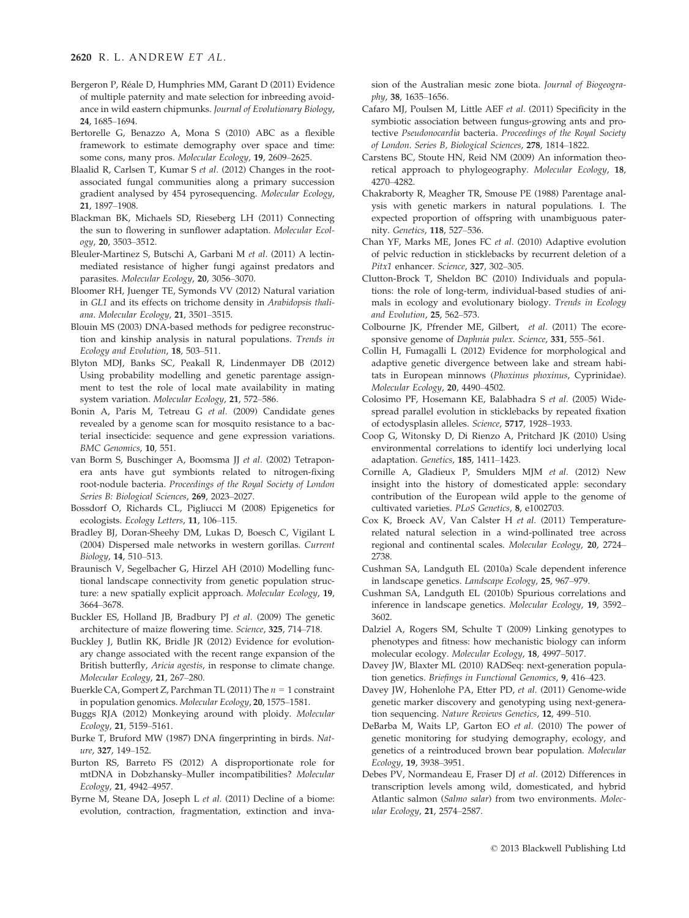- Bergeron P, Réale D, Humphries MM, Garant D (2011) Evidence of multiple paternity and mate selection for inbreeding avoidance in wild eastern chipmunks. Journal of Evolutionary Biology, 24, 1685–1694.
- Bertorelle G, Benazzo A, Mona S (2010) ABC as a flexible framework to estimate demography over space and time: some cons, many pros. Molecular Ecology, 19, 2609–2625.
- Blaalid R, Carlsen T, Kumar S et al. (2012) Changes in the rootassociated fungal communities along a primary succession gradient analysed by 454 pyrosequencing. Molecular Ecology, 21, 1897–1908.
- Blackman BK, Michaels SD, Rieseberg LH (2011) Connecting the sun to flowering in sunflower adaptation. Molecular Ecology, 20, 3503–3512.
- Bleuler-Martinez S, Butschi A, Garbani M et al. (2011) A lectinmediated resistance of higher fungi against predators and parasites. Molecular Ecology, 20, 3056–3070.
- Bloomer RH, Juenger TE, Symonds VV (2012) Natural variation in GL1 and its effects on trichome density in Arabidopsis thaliana. Molecular Ecology, 21, 3501–3515.
- Blouin MS (2003) DNA-based methods for pedigree reconstruction and kinship analysis in natural populations. Trends in Ecology and Evolution, 18, 503–511.
- Blyton MDJ, Banks SC, Peakall R, Lindenmayer DB (2012) Using probability modelling and genetic parentage assignment to test the role of local mate availability in mating system variation. Molecular Ecology, 21, 572–586.
- Bonin A, Paris M, Tetreau G et al. (2009) Candidate genes revealed by a genome scan for mosquito resistance to a bacterial insecticide: sequence and gene expression variations. BMC Genomics, 10, 551.
- van Borm S, Buschinger A, Boomsma JJ et al. (2002) Tetraponera ants have gut symbionts related to nitrogen-fixing root-nodule bacteria. Proceedings of the Royal Society of London Series B: Biological Sciences, 269, 2023–2027.
- Bossdorf O, Richards CL, Pigliucci M (2008) Epigenetics for ecologists. Ecology Letters, 11, 106–115.
- Bradley BJ, Doran-Sheehy DM, Lukas D, Boesch C, Vigilant L (2004) Dispersed male networks in western gorillas. Current Biology, 14, 510–513.
- Braunisch V, Segelbacher G, Hirzel AH (2010) Modelling functional landscape connectivity from genetic population structure: a new spatially explicit approach. Molecular Ecology, 19, 3664–3678.
- Buckler ES, Holland JB, Bradbury PJ et al. (2009) The genetic architecture of maize flowering time. Science, 325, 714–718.
- Buckley J, Butlin RK, Bridle JR (2012) Evidence for evolutionary change associated with the recent range expansion of the British butterfly, Aricia agestis, in response to climate change. Molecular Ecology, 21, 267–280.
- Buerkle CA, Gompert Z, Parchman TL (2011) The  $n = 1$  constraint in population genomics. Molecular Ecology, 20, 1575–1581.
- Buggs RJA (2012) Monkeying around with ploidy. Molecular Ecology, 21, 5159–5161.
- Burke T, Bruford MW (1987) DNA fingerprinting in birds. Nature, 327, 149–152.
- Burton RS, Barreto FS (2012) A disproportionate role for mtDNA in Dobzhansky–Muller incompatibilities? Molecular Ecology, 21, 4942–4957.
- Byrne M, Steane DA, Joseph L et al. (2011) Decline of a biome: evolution, contraction, fragmentation, extinction and inva-

sion of the Australian mesic zone biota. Journal of Biogeography, 38, 1635–1656.

- Cafaro MJ, Poulsen M, Little AEF et al. (2011) Specificity in the symbiotic association between fungus-growing ants and protective Pseudonocardia bacteria. Proceedings of the Royal Society of London. Series B, Biological Sciences, 278, 1814–1822.
- Carstens BC, Stoute HN, Reid NM (2009) An information theoretical approach to phylogeography. Molecular Ecology, 18, 4270–4282.
- Chakraborty R, Meagher TR, Smouse PE (1988) Parentage analysis with genetic markers in natural populations. I. The expected proportion of offspring with unambiguous paternity. Genetics, 118, 527–536.
- Chan YF, Marks ME, Jones FC et al. (2010) Adaptive evolution of pelvic reduction in sticklebacks by recurrent deletion of a Pitx1 enhancer. Science, 327, 302-305.
- Clutton-Brock T, Sheldon BC (2010) Individuals and populations: the role of long-term, individual-based studies of animals in ecology and evolutionary biology. Trends in Ecology and Evolution, 25, 562–573.
- Colbourne JK, Pfrender ME, Gilbert, et al. (2011) The ecoresponsive genome of Daphnia pulex. Science, 331, 555-561.
- Collin H, Fumagalli L (2012) Evidence for morphological and adaptive genetic divergence between lake and stream habitats in European minnows (Phoxinus phoxinus, Cyprinidae). Molecular Ecology, 20, 4490–4502.
- Colosimo PF, Hosemann KE, Balabhadra S et al. (2005) Widespread parallel evolution in sticklebacks by repeated fixation of ectodysplasin alleles. Science, 5717, 1928–1933.
- Coop G, Witonsky D, Di Rienzo A, Pritchard JK (2010) Using environmental correlations to identify loci underlying local adaptation. Genetics, 185, 1411–1423.
- Cornille A, Gladieux P, Smulders MJM et al. (2012) New insight into the history of domesticated apple: secondary contribution of the European wild apple to the genome of cultivated varieties. PLoS Genetics, 8, e1002703.
- Cox K, Broeck AV, Van Calster H et al. (2011) Temperaturerelated natural selection in a wind-pollinated tree across regional and continental scales. Molecular Ecology, 20, 2724– 2738.
- Cushman SA, Landguth EL (2010a) Scale dependent inference in landscape genetics. Landscape Ecology, 25, 967–979.
- Cushman SA, Landguth EL (2010b) Spurious correlations and inference in landscape genetics. Molecular Ecology, 19, 3592– 3602.
- Dalziel A, Rogers SM, Schulte T (2009) Linking genotypes to phenotypes and fitness: how mechanistic biology can inform molecular ecology. Molecular Ecology, 18, 4997–5017.
- Davey JW, Blaxter ML (2010) RADSeq: next-generation population genetics. Briefings in Functional Genomics, 9, 416–423.
- Davey JW, Hohenlohe PA, Etter PD, et al. (2011) Genome-wide genetic marker discovery and genotyping using next-generation sequencing. Nature Reviews Genetics, 12, 499-510.
- DeBarba M, Waits LP, Garton EO et al. (2010) The power of genetic monitoring for studying demography, ecology, and genetics of a reintroduced brown bear population. Molecular Ecology, 19, 3938–3951.
- Debes PV, Normandeau E, Fraser DJ et al. (2012) Differences in transcription levels among wild, domesticated, and hybrid Atlantic salmon (Salmo salar) from two environments. Molecular Ecology, 21, 2574–2587.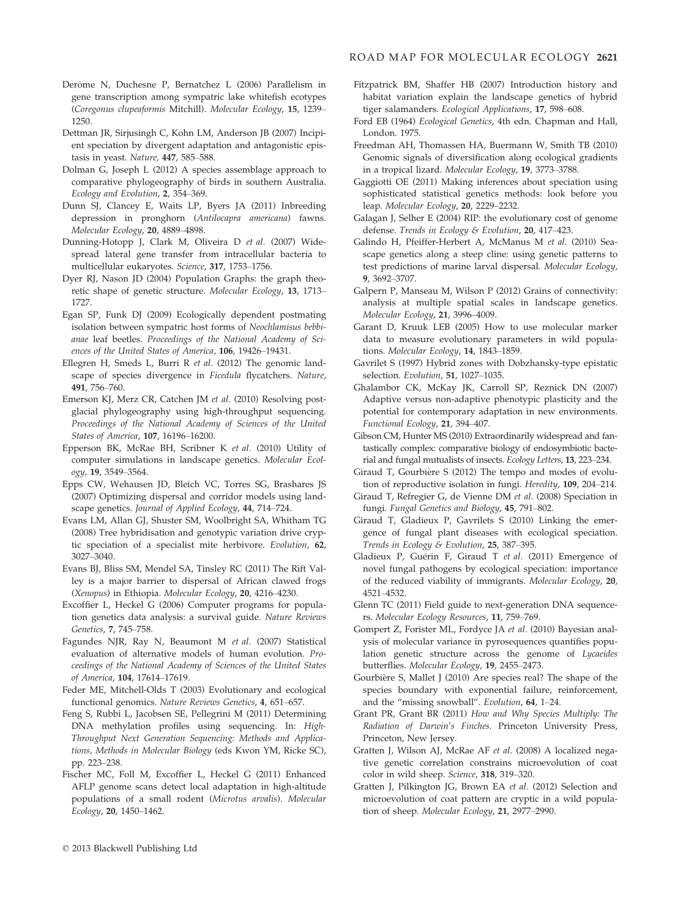- Derôme N, Duchesne P, Bernatchez L (2006) Parallelism in gene transcription among sympatric lake whitefish ecotypes (Coregonus clupeaformis Mitchill). Molecular Ecology, 15, 1239– 1250.
- Dettman JR, Sirjusingh C, Kohn LM, Anderson JB (2007) Incipient speciation by divergent adaptation and antagonistic epistasis in yeast. Nature, 447, 585–588.
- Dolman G, Joseph L (2012) A species assemblage approach to comparative phylogeography of birds in southern Australia. Ecology and Evolution, 2, 354–369.
- Dunn SJ, Clancey E, Waits LP, Byers JA (2011) Inbreeding depression in pronghorn (Antilocapra americana) fawns. Molecular Ecology, 20, 4889–4898.
- Dunning-Hotopp J, Clark M, Oliveira D et al. (2007) Widespread lateral gene transfer from intracellular bacteria to multicellular eukaryotes. Science, 317, 1753–1756.
- Dyer RJ, Nason JD (2004) Population Graphs: the graph theoretic shape of genetic structure. Molecular Ecology, 13, 1713– 1727.
- Egan SP, Funk DJ (2009) Ecologically dependent postmating isolation between sympatric host forms of Neochlamisus bebbianae leaf beetles. Proceedings of the National Academy of Sciences of the United States of America, 106, 19426–19431.
- Ellegren H, Smeds L, Burri R et al. (2012) The genomic landscape of species divergence in Ficedula flycatchers. Nature, 491, 756–760.
- Emerson KJ, Merz CR, Catchen JM et al. (2010) Resolving postglacial phylogeography using high-throughput sequencing. Proceedings of the National Academy of Sciences of the United States of America, 107, 16196–16200.
- Epperson BK, McRae BH, Scribner K et al. (2010) Utility of computer simulations in landscape genetics. Molecular Ecology, 19, 3549–3564.
- Epps CW, Wehausen JD, Bleich VC, Torres SG, Brashares JS (2007) Optimizing dispersal and corridor models using landscape genetics. Journal of Applied Ecology, 44, 714–724.
- Evans LM, Allan GJ, Shuster SM, Woolbright SA, Whitham TG (2008) Tree hybridisation and genotypic variation drive cryptic speciation of a specialist mite herbivore. Evolution, 62, 3027–3040.
- Evans BJ, Bliss SM, Mendel SA, Tinsley RC (2011) The Rift Valley is a major barrier to dispersal of African clawed frogs (Xenopus) in Ethiopia. Molecular Ecology, 20, 4216–4230.
- Excoffier L, Heckel G (2006) Computer programs for population genetics data analysis: a survival guide. Nature Reviews Genetics, 7, 745–758.
- Fagundes NJR, Ray N, Beaumont M et al. (2007) Statistical evaluation of alternative models of human evolution. Proceedings of the National Academy of Sciences of the United States of America, 104, 17614–17619.
- Feder ME, Mitchell-Olds T (2003) Evolutionary and ecological functional genomics. Nature Reviews Genetics, 4, 651–657.
- Feng S, Rubbi L, Jacobsen SE, Pellegrini M (2011) Determining DNA methylation profiles using sequencing. In: High-Throughput Next Generation Sequencing: Methods and Applications, Methods in Molecular Biology (eds Kwon YM, Ricke SC), pp. 223–238.
- Fischer MC, Foll M, Excoffier L, Heckel G (2011) Enhanced AFLP genome scans detect local adaptation in high-altitude populations of a small rodent (Microtus arvalis). Molecular Ecology, 20, 1450–1462.
- Fitzpatrick BM, Shaffer HB (2007) Introduction history and habitat variation explain the landscape genetics of hybrid tiger salamanders. Ecological Applications, 17, 598–608.
- Ford EB (1964) Ecological Genetics, 4th edn. Chapman and Hall, London. 1975.
- Freedman AH, Thomassen HA, Buermann W, Smith TB (2010) Genomic signals of diversification along ecological gradients in a tropical lizard. Molecular Ecology, 19, 3773–3788.
- Gaggiotti OE (2011) Making inferences about speciation using sophisticated statistical genetics methods: look before you leap. Molecular Ecology, 20, 2229–2232.
- Galagan J, Selher E (2004) RIP: the evolutionary cost of genome defense. Trends in Ecology & Evolution, 20, 417–423.
- Galindo H, Pfeiffer-Herbert A, McManus M et al. (2010) Seascape genetics along a steep cline: using genetic patterns to test predictions of marine larval dispersal. Molecular Ecology, 9, 3692–3707.
- Galpern P, Manseau M, Wilson P (2012) Grains of connectivity: analysis at multiple spatial scales in landscape genetics. Molecular Ecology, 21, 3996–4009.
- Garant D, Kruuk LEB (2005) How to use molecular marker data to measure evolutionary parameters in wild populations. Molecular Ecology, 14, 1843–1859.
- Gavrilet S (1997) Hybrid zones with Dobzhansky-type epistatic selection. Evolution, 51, 1027–1035.
- Ghalambor CK, McKay JK, Carroll SP, Reznick DN (2007) Adaptive versus non-adaptive phenotypic plasticity and the potential for contemporary adaptation in new environments. Functional Ecology, 21, 394–407.
- Gibson CM, Hunter MS (2010) Extraordinarily widespread and fantastically complex: comparative biology of endosymbiotic bacterial and fungal mutualists of insects. Ecology Letters, 13, 223–234.
- Giraud T, Gourbière S (2012) The tempo and modes of evolution of reproductive isolation in fungi. Heredity, 109, 204–214.
- Giraud T, Refregier G, de Vienne DM et al. (2008) Speciation in fungi. Fungal Genetics and Biology, 45, 791–802.
- Giraud T, Gladieux P, Gavrilets S (2010) Linking the emergence of fungal plant diseases with ecological speciation. Trends in Ecology & Evolution, 25, 387–395.
- Gladieux P, Guérin F, Giraud T et al. (2011) Emergence of novel fungal pathogens by ecological speciation: importance of the reduced viability of immigrants. Molecular Ecology, 20, 4521–4532.
- Glenn TC (2011) Field guide to next-generation DNA sequencers. Molecular Ecology Resources, 11, 759–769.
- Gompert Z, Forister ML, Fordyce JA et al. (2010) Bayesian analysis of molecular variance in pyrosequences quantifies population genetic structure across the genome of Lycaeides butterflies. Molecular Ecology, 19, 2455–2473.
- Gourbière S, Mallet J (2010) Are species real? The shape of the species boundary with exponential failure, reinforcement, and the "missing snowball". Evolution, 64, 1–24.
- Grant PR, Grant BR (2011) How and Why Species Multiply: The Radiation of Darwin's Finches. Princeton University Press, Princeton, New Jersey.
- Gratten J, Wilson AJ, McRae AF et al. (2008) A localized negative genetic correlation constrains microevolution of coat color in wild sheep. Science, 318, 319–320.
- Gratten J, Pilkington JG, Brown EA et al. (2012) Selection and microevolution of coat pattern are cryptic in a wild population of sheep. Molecular Ecology, 21, 2977–2990.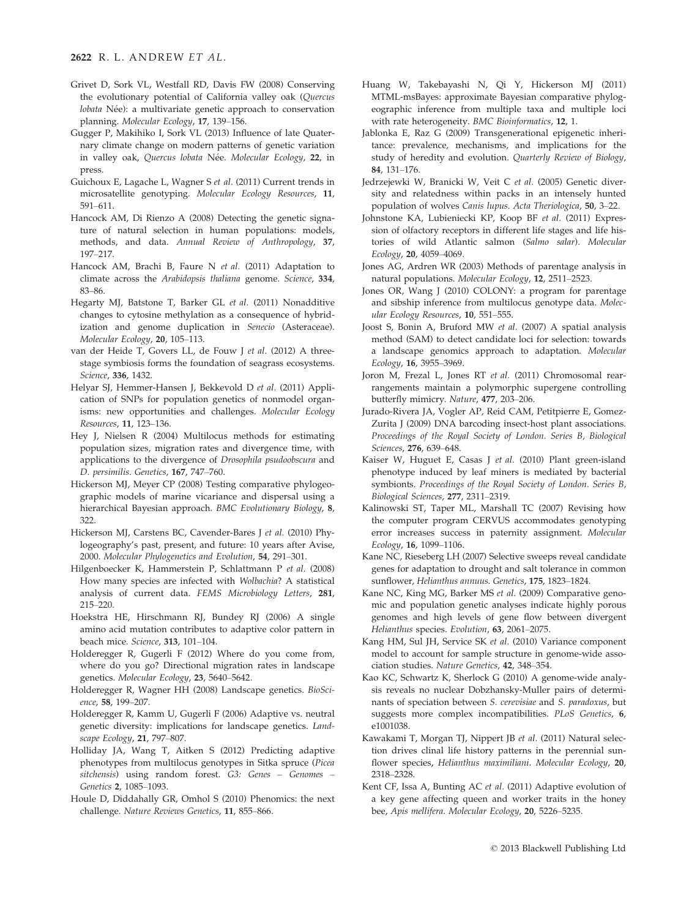- Grivet D, Sork VL, Westfall RD, Davis FW (2008) Conserving the evolutionary potential of California valley oak (Quercus lobata Née): a multivariate genetic approach to conservation planning. Molecular Ecology, 17, 139–156.
- Gugger P, Makihiko I, Sork VL (2013) Influence of late Quaternary climate change on modern patterns of genetic variation in valley oak, Quercus lobata Née. Molecular Ecology, 22, in press.
- Guichoux E, Lagache L, Wagner S et al. (2011) Current trends in microsatellite genotyping. Molecular Ecology Resources, 11, 591–611.
- Hancock AM, Di Rienzo A (2008) Detecting the genetic signature of natural selection in human populations: models, methods, and data. Annual Review of Anthropology, 37, 197–217.
- Hancock AM, Brachi B, Faure N et al. (2011) Adaptation to climate across the Arabidopsis thaliana genome. Science, 334, 83–86.
- Hegarty MJ, Batstone T, Barker GL et al. (2011) Nonadditive changes to cytosine methylation as a consequence of hybridization and genome duplication in Senecio (Asteraceae). Molecular Ecology, 20, 105–113.
- van der Heide T, Govers LL, de Fouw J et al. (2012) A threestage symbiosis forms the foundation of seagrass ecosystems. Science, 336, 1432.
- Helyar SJ, Hemmer-Hansen J, Bekkevold D et al. (2011) Application of SNPs for population genetics of nonmodel organisms: new opportunities and challenges. Molecular Ecology Resources, 11, 123–136.
- Hey J, Nielsen R (2004) Multilocus methods for estimating population sizes, migration rates and divergence time, with applications to the divergence of Drosophila psudoobscura and D. persimilis. Genetics, 167, 747–760.
- Hickerson MJ, Meyer CP (2008) Testing comparative phylogeographic models of marine vicariance and dispersal using a hierarchical Bayesian approach. BMC Evolutionary Biology, 8, 322
- Hickerson MJ, Carstens BC, Cavender-Bares J et al. (2010) Phylogeography's past, present, and future: 10 years after Avise, 2000. Molecular Phylogenetics and Evolution, 54, 291–301.
- Hilgenboecker K, Hammerstein P, Schlattmann P et al. (2008) How many species are infected with Wolbachia? A statistical analysis of current data. FEMS Microbiology Letters, 281, 215–220.
- Hoekstra HE, Hirschmann RJ, Bundey RJ (2006) A single amino acid mutation contributes to adaptive color pattern in beach mice. Science, 313, 101–104.
- Holderegger R, Gugerli F (2012) Where do you come from, where do you go? Directional migration rates in landscape genetics. Molecular Ecology, 23, 5640–5642.
- Holderegger R, Wagner HH (2008) Landscape genetics. BioScience, 58, 199–207.
- Holderegger R, Kamm U, Gugerli F (2006) Adaptive vs. neutral genetic diversity: implications for landscape genetics. Landscape Ecology, 21, 797–807.
- Holliday JA, Wang T, Aitken S (2012) Predicting adaptive phenotypes from multilocus genotypes in Sitka spruce (Picea sitchensis) using random forest. G3: Genes - Genomes -Genetics 2, 1085–1093.
- Houle D, Diddahally GR, Omhol S (2010) Phenomics: the next challenge. Nature Reviews Genetics, 11, 855–866.
- Huang W, Takebayashi N, Qi Y, Hickerson MJ (2011) MTML-msBayes: approximate Bayesian comparative phylogeographic inference from multiple taxa and multiple loci with rate heterogeneity. BMC Bioinformatics, 12, 1.
- Jablonka E, Raz G (2009) Transgenerational epigenetic inheritance: prevalence, mechanisms, and implications for the study of heredity and evolution. Quarterly Review of Biology, 84, 131–176.
- Jedrzejewki W, Branicki W, Veit C et al. (2005) Genetic diversity and relatedness within packs in an intensely hunted population of wolves Canis lupus. Acta Theriologica, 50, 3–22.
- Johnstone KA, Lubieniecki KP, Koop BF et al. (2011) Expression of olfactory receptors in different life stages and life histories of wild Atlantic salmon (Salmo salar). Molecular Ecology, 20, 4059–4069.
- Jones AG, Ardren WR (2003) Methods of parentage analysis in natural populations. Molecular Ecology, 12, 2511–2523.
- Jones OR, Wang J (2010) COLONY: a program for parentage and sibship inference from multilocus genotype data. Molecular Ecology Resources, 10, 551–555.
- Joost S, Bonin A, Bruford MW et al. (2007) A spatial analysis method (SAM) to detect candidate loci for selection: towards a landscape genomics approach to adaptation. Molecular Ecology, 16, 3955–3969.
- Joron M, Frezal L, Jones RT et al. (2011) Chromosomal rearrangements maintain a polymorphic supergene controlling butterfly mimicry. Nature, 477, 203–206.
- Jurado-Rivera JA, Vogler AP, Reid CAM, Petitpierre E, Gomez-Zurita J (2009) DNA barcoding insect-host plant associations. Proceedings of the Royal Society of London. Series B, Biological Sciences, 276, 639–648.
- Kaiser W, Huguet E, Casas J et al. (2010) Plant green-island phenotype induced by leaf miners is mediated by bacterial symbionts. Proceedings of the Royal Society of London. Series B, Biological Sciences, 277, 2311–2319.
- Kalinowski ST, Taper ML, Marshall TC (2007) Revising how the computer program CERVUS accommodates genotyping error increases success in paternity assignment. Molecular Ecology, 16, 1099–1106.
- Kane NC, Rieseberg LH (2007) Selective sweeps reveal candidate genes for adaptation to drought and salt tolerance in common sunflower, Helianthus annuus. Genetics, 175, 1823–1824.
- Kane NC, King MG, Barker MS et al. (2009) Comparative genomic and population genetic analyses indicate highly porous genomes and high levels of gene flow between divergent Helianthus species. Evolution, 63, 2061–2075.
- Kang HM, Sul JH, Service SK et al. (2010) Variance component model to account for sample structure in genome-wide association studies. Nature Genetics, 42, 348–354.
- Kao KC, Schwartz K, Sherlock G (2010) A genome-wide analysis reveals no nuclear Dobzhansky-Muller pairs of determinants of speciation between S. cerevisiae and S. paradoxus, but suggests more complex incompatibilities. PLoS Genetics, 6, e1001038.
- Kawakami T, Morgan TJ, Nippert JB et al. (2011) Natural selection drives clinal life history patterns in the perennial sunflower species, Helianthus maximiliani. Molecular Ecology, 20, 2318–2328.
- Kent CF, Issa A, Bunting AC et al. (2011) Adaptive evolution of a key gene affecting queen and worker traits in the honey bee, Apis mellifera. Molecular Ecology, 20, 5226–5235.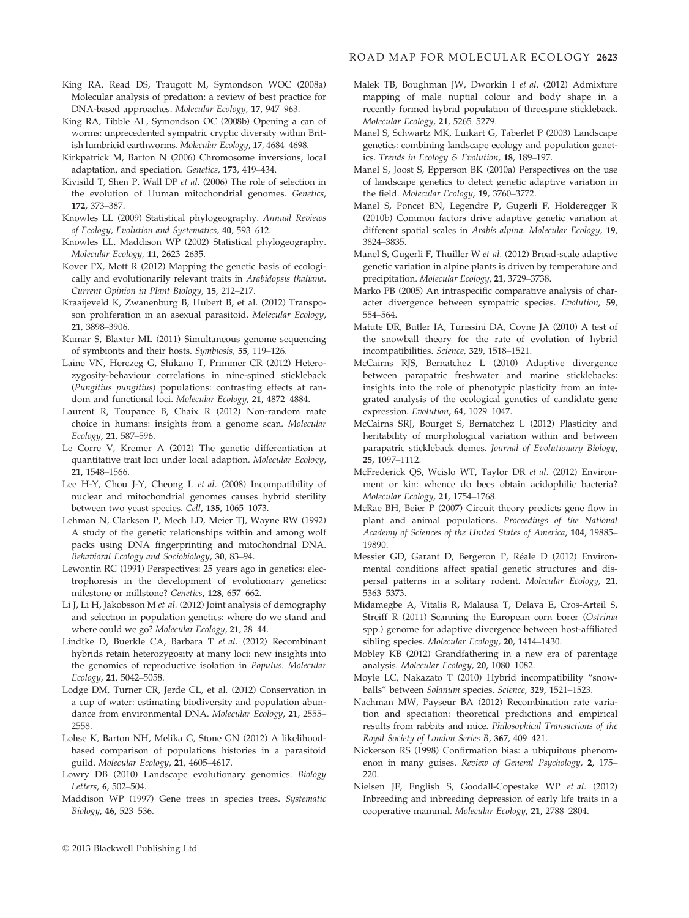- King RA, Read DS, Traugott M, Symondson WOC (2008a) Molecular analysis of predation: a review of best practice for DNA-based approaches. Molecular Ecology, 17, 947–963.
- King RA, Tibble AL, Symondson OC (2008b) Opening a can of worms: unprecedented sympatric cryptic diversity within British lumbricid earthworms. Molecular Ecology, 17, 4684–4698.
- Kirkpatrick M, Barton N (2006) Chromosome inversions, local adaptation, and speciation. Genetics, 173, 419–434.
- Kivisild T, Shen P, Wall DP et al. (2006) The role of selection in the evolution of Human mitochondrial genomes. Genetics, 172, 373–387.
- Knowles LL (2009) Statistical phylogeography. Annual Reviews of Ecology, Evolution and Systematics, 40, 593–612.
- Knowles LL, Maddison WP (2002) Statistical phylogeography. Molecular Ecology, 11, 2623–2635.
- Kover PX, Mott R (2012) Mapping the genetic basis of ecologically and evolutionarily relevant traits in Arabidopsis thaliana. Current Opinion in Plant Biology, 15, 212–217.
- Kraaijeveld K, Zwanenburg B, Hubert B, et al. (2012) Transposon proliferation in an asexual parasitoid. Molecular Ecology, 21, 3898–3906.
- Kumar S, Blaxter ML (2011) Simultaneous genome sequencing of symbionts and their hosts. Symbiosis, 55, 119–126.
- Laine VN, Herczeg G, Shikano T, Primmer CR (2012) Heterozygosity-behaviour correlations in nine-spined stickleback (Pungitius pungitius) populations: contrasting effects at random and functional loci. Molecular Ecology, 21, 4872–4884.
- Laurent R, Toupance B, Chaix R (2012) Non-random mate choice in humans: insights from a genome scan. Molecular Ecology, 21, 587–596.
- Le Corre V, Kremer A (2012) The genetic differentiation at quantitative trait loci under local adaption. Molecular Ecology, 21, 1548–1566.
- Lee H-Y, Chou J-Y, Cheong L et al. (2008) Incompatibility of nuclear and mitochondrial genomes causes hybrid sterility between two yeast species. Cell, 135, 1065–1073.
- Lehman N, Clarkson P, Mech LD, Meier TJ, Wayne RW (1992) A study of the genetic relationships within and among wolf packs using DNA fingerprinting and mitochondrial DNA. Behavioral Ecology and Sociobiology, 30, 83–94.
- Lewontin RC (1991) Perspectives: 25 years ago in genetics: electrophoresis in the development of evolutionary genetics: milestone or millstone? Genetics, 128, 657–662.
- Li J, Li H, Jakobsson M et al. (2012) Joint analysis of demography and selection in population genetics: where do we stand and where could we go? Molecular Ecology, 21, 28–44.
- Lindtke D, Buerkle CA, Barbara T et al. (2012) Recombinant hybrids retain heterozygosity at many loci: new insights into the genomics of reproductive isolation in Populus. Molecular Ecology, 21, 5042–5058.
- Lodge DM, Turner CR, Jerde CL, et al. (2012) Conservation in a cup of water: estimating biodiversity and population abundance from environmental DNA. Molecular Ecology, 21, 2555– 2558.
- Lohse K, Barton NH, Melika G, Stone GN (2012) A likelihoodbased comparison of populations histories in a parasitoid guild. Molecular Ecology, 21, 4605–4617.
- Lowry DB (2010) Landscape evolutionary genomics. Biology Letters, 6, 502–504.
- Maddison WP (1997) Gene trees in species trees. Systematic Biology, 46, 523–536.
- Malek TB, Boughman JW, Dworkin I et al. (2012) Admixture mapping of male nuptial colour and body shape in a recently formed hybrid population of threespine stickleback. Molecular Ecology, 21, 5265–5279.
- Manel S, Schwartz MK, Luikart G, Taberlet P (2003) Landscape genetics: combining landscape ecology and population genetics. Trends in Ecology & Evolution, 18, 189–197.
- Manel S, Joost S, Epperson BK (2010a) Perspectives on the use of landscape genetics to detect genetic adaptive variation in the field. Molecular Ecology, 19, 3760–3772.
- Manel S, Poncet BN, Legendre P, Gugerli F, Holderegger R (2010b) Common factors drive adaptive genetic variation at different spatial scales in Arabis alpina. Molecular Ecology, 19, 3824–3835.
- Manel S, Gugerli F, Thuiller W et al. (2012) Broad-scale adaptive genetic variation in alpine plants is driven by temperature and precipitation. Molecular Ecology, 21, 3729–3738.
- Marko PB (2005) An intraspecific comparative analysis of character divergence between sympatric species. Evolution, 59, 554–564.
- Matute DR, Butler IA, Turissini DA, Coyne JA (2010) A test of the snowball theory for the rate of evolution of hybrid incompatibilities. Science, 329, 1518–1521.
- McCairns RJS, Bernatchez L (2010) Adaptive divergence between parapatric freshwater and marine sticklebacks: insights into the role of phenotypic plasticity from an integrated analysis of the ecological genetics of candidate gene expression. Evolution, 64, 1029–1047.
- McCairns SRJ, Bourget S, Bernatchez L (2012) Plasticity and heritability of morphological variation within and between parapatric stickleback demes. Journal of Evolutionary Biology, 25, 1097–1112.
- McFrederick QS, Wcislo WT, Taylor DR et al. (2012) Environment or kin: whence do bees obtain acidophilic bacteria? Molecular Ecology, 21, 1754–1768.
- McRae BH, Beier P (2007) Circuit theory predicts gene flow in plant and animal populations. Proceedings of the National Academy of Sciences of the United States of America, 104, 19885– 19890.
- Messier GD, Garant D, Bergeron P, Réale D (2012) Environmental conditions affect spatial genetic structures and dispersal patterns in a solitary rodent. Molecular Ecology, 21, 5363–5373.
- Midamegbe A, Vitalis R, Malausa T, Delava E, Cros-Arteil S, Streiff R (2011) Scanning the European corn borer (Ostrinia spp.) genome for adaptive divergence between host-affiliated sibling species. Molecular Ecology, 20, 1414–1430.
- Mobley KB (2012) Grandfathering in a new era of parentage analysis. Molecular Ecology, 20, 1080–1082.
- Moyle LC, Nakazato T (2010) Hybrid incompatibility "snowballs" between Solanum species. Science, 329, 1521–1523.
- Nachman MW, Payseur BA (2012) Recombination rate variation and speciation: theoretical predictions and empirical results from rabbits and mice. Philosophical Transactions of the Royal Society of London Series B, 367, 409–421.
- Nickerson RS (1998) Confirmation bias: a ubiquitous phenomenon in many guises. Review of General Psychology, 2, 175– 220.
- Nielsen JF, English S, Goodall-Copestake WP et al. (2012) Inbreeding and inbreeding depression of early life traits in a cooperative mammal. Molecular Ecology, 21, 2788–2804.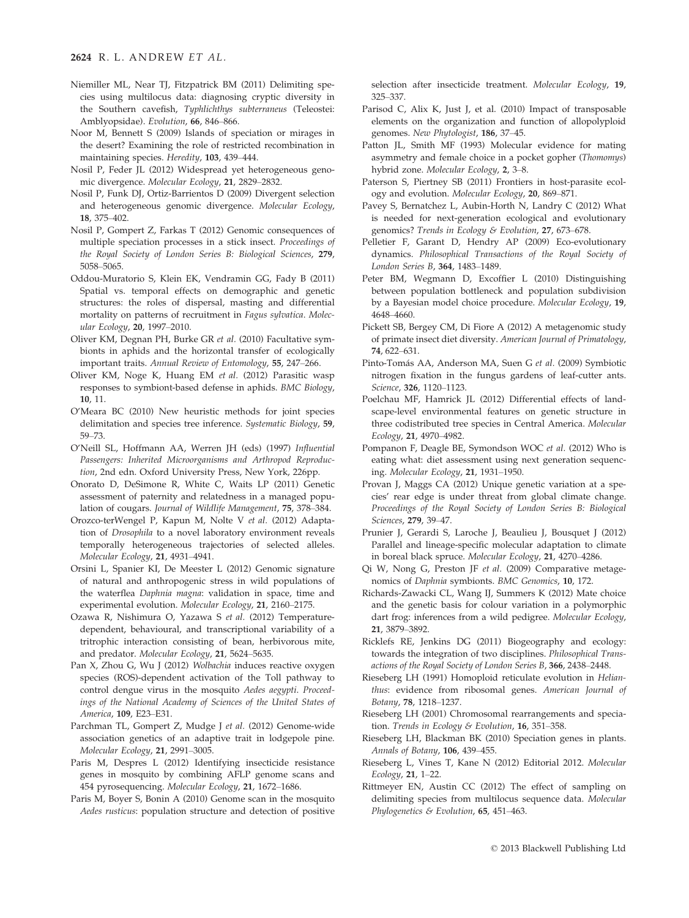- Niemiller ML, Near TJ, Fitzpatrick BM (2011) Delimiting species using multilocus data: diagnosing cryptic diversity in the Southern cavefish, Typhlichthys subterraneus (Teleostei: Amblyopsidae). Evolution, 66, 846–866.
- Noor M, Bennett S (2009) Islands of speciation or mirages in the desert? Examining the role of restricted recombination in maintaining species. Heredity, 103, 439–444.
- Nosil P, Feder JL (2012) Widespread yet heterogeneous genomic divergence. Molecular Ecology, 21, 2829–2832.
- Nosil P, Funk DJ, Ortiz-Barrientos D (2009) Divergent selection and heterogeneous genomic divergence. Molecular Ecology, 18, 375–402.
- Nosil P, Gompert Z, Farkas T (2012) Genomic consequences of multiple speciation processes in a stick insect. Proceedings of the Royal Society of London Series B: Biological Sciences, 279, 5058–5065.
- Oddou-Muratorio S, Klein EK, Vendramin GG, Fady B (2011) Spatial vs. temporal effects on demographic and genetic structures: the roles of dispersal, masting and differential mortality on patterns of recruitment in Fagus sylvatica. Molecular Ecology, 20, 1997–2010.
- Oliver KM, Degnan PH, Burke GR et al. (2010) Facultative symbionts in aphids and the horizontal transfer of ecologically important traits. Annual Review of Entomology, 55, 247–266.
- Oliver KM, Noge K, Huang EM et al. (2012) Parasitic wasp responses to symbiont-based defense in aphids. BMC Biology, 10, 11.
- O'Meara BC (2010) New heuristic methods for joint species delimitation and species tree inference. Systematic Biology, 59, 59–73.
- O'Neill SL, Hoffmann AA, Werren JH (eds) (1997) Influential Passengers: Inherited Microorganisms and Arthropod Reproduction, 2nd edn. Oxford University Press, New York, 226pp.
- Onorato D, DeSimone R, White C, Waits LP (2011) Genetic assessment of paternity and relatedness in a managed population of cougars. Journal of Wildlife Management, 75, 378–384.
- Orozco-terWengel P, Kapun M, Nolte V et al. (2012) Adaptation of Drosophila to a novel laboratory environment reveals temporally heterogeneous trajectories of selected alleles. Molecular Ecology, 21, 4931–4941.
- Orsini L, Spanier KI, De Meester L (2012) Genomic signature of natural and anthropogenic stress in wild populations of the waterflea Daphnia magna: validation in space, time and experimental evolution. Molecular Ecology, 21, 2160–2175.
- Ozawa R, Nishimura O, Yazawa S et al. (2012) Temperaturedependent, behavioural, and transcriptional variability of a tritrophic interaction consisting of bean, herbivorous mite, and predator. Molecular Ecology, 21, 5624–5635.
- Pan X, Zhou G, Wu J (2012) Wolbachia induces reactive oxygen species (ROS)-dependent activation of the Toll pathway to control dengue virus in the mosquito Aedes aegypti. Proceedings of the National Academy of Sciences of the United States of America, 109, E23–E31.
- Parchman TL, Gompert Z, Mudge J et al. (2012) Genome-wide association genetics of an adaptive trait in lodgepole pine. Molecular Ecology, 21, 2991–3005.
- Paris M, Despres L (2012) Identifying insecticide resistance genes in mosquito by combining AFLP genome scans and 454 pyrosequencing. Molecular Ecology, 21, 1672–1686.
- Paris M, Boyer S, Bonin A (2010) Genome scan in the mosquito Aedes rusticus: population structure and detection of positive

selection after insecticide treatment. Molecular Ecology, 19, 325–337.

- Parisod C, Alix K, Just J, et al. (2010) Impact of transposable elements on the organization and function of allopolyploid genomes. New Phytologist, 186, 37–45.
- Patton JL, Smith MF (1993) Molecular evidence for mating asymmetry and female choice in a pocket gopher (Thomomys) hybrid zone. Molecular Ecology, 2, 3–8.
- Paterson S, Piertney SB (2011) Frontiers in host-parasite ecology and evolution. Molecular Ecology, 20, 869–871.
- Pavey S, Bernatchez L, Aubin-Horth N, Landry C (2012) What is needed for next-generation ecological and evolutionary genomics? Trends in Ecology & Evolution, 27, 673–678.
- Pelletier F, Garant D, Hendry AP (2009) Eco-evolutionary dynamics. Philosophical Transactions of the Royal Society of London Series B, 364, 1483–1489.
- Peter BM, Wegmann D, Excoffier L (2010) Distinguishing between population bottleneck and population subdivision by a Bayesian model choice procedure. Molecular Ecology, 19, 4648–4660.
- Pickett SB, Bergey CM, Di Fiore A (2012) A metagenomic study of primate insect diet diversity. American Journal of Primatology, 74, 622–631.
- Pinto-Tomás AA, Anderson MA, Suen G et al. (2009) Symbiotic nitrogen fixation in the fungus gardens of leaf-cutter ants. Science, 326, 1120–1123.
- Poelchau MF, Hamrick JL (2012) Differential effects of landscape-level environmental features on genetic structure in three codistributed tree species in Central America. Molecular Ecology, 21, 4970–4982.
- Pompanon F, Deagle BE, Symondson WOC et al. (2012) Who is eating what: diet assessment using next generation sequencing. Molecular Ecology, 21, 1931–1950.
- Provan J, Maggs CA (2012) Unique genetic variation at a species' rear edge is under threat from global climate change. Proceedings of the Royal Society of London Series B: Biological Sciences, 279, 39–47.
- Prunier J, Gerardi S, Laroche J, Beaulieu J, Bousquet J (2012) Parallel and lineage-specific molecular adaptation to climate in boreal black spruce. Molecular Ecology, 21, 4270–4286.
- Qi W, Nong G, Preston JF et al. (2009) Comparative metagenomics of Daphnia symbionts. BMC Genomics, 10, 172.
- Richards-Zawacki CL, Wang IJ, Summers K (2012) Mate choice and the genetic basis for colour variation in a polymorphic dart frog: inferences from a wild pedigree. Molecular Ecology, 21, 3879–3892.
- Ricklefs RE, Jenkins DG (2011) Biogeography and ecology: towards the integration of two disciplines. Philosophical Transactions of the Royal Society of London Series B, 366, 2438–2448.
- Rieseberg LH (1991) Homoploid reticulate evolution in Helianthus: evidence from ribosomal genes. American Journal of Botany, 78, 1218–1237.
- Rieseberg LH (2001) Chromosomal rearrangements and speciation. Trends in Ecology & Evolution,  $16$ ,  $351-358$ .
- Rieseberg LH, Blackman BK (2010) Speciation genes in plants. Annals of Botany, 106, 439–455.
- Rieseberg L, Vines T, Kane N (2012) Editorial 2012. Molecular Ecology, 21, 1–22.
- Rittmeyer EN, Austin CC (2012) The effect of sampling on delimiting species from multilocus sequence data. Molecular Phylogenetics & Evolution, 65, 451–463.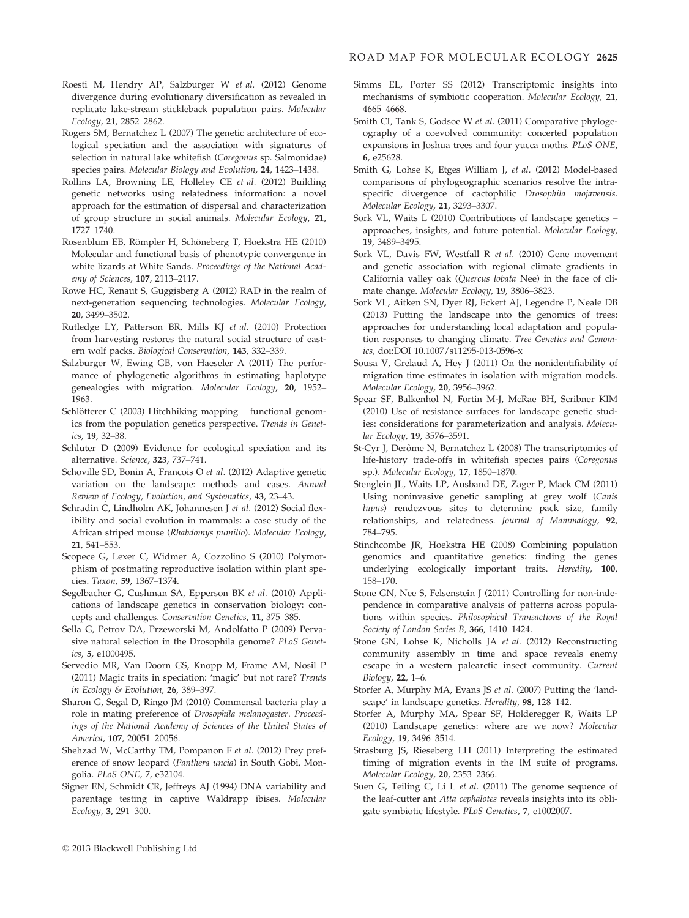- Roesti M, Hendry AP, Salzburger W et al. (2012) Genome divergence during evolutionary diversification as revealed in replicate lake-stream stickleback population pairs. Molecular Ecology, 21, 2852–2862.
- Rogers SM, Bernatchez L (2007) The genetic architecture of ecological speciation and the association with signatures of selection in natural lake whitefish (Coregonus sp. Salmonidae) species pairs. Molecular Biology and Evolution, 24, 1423–1438.
- Rollins LA, Browning LE, Holleley CE et al. (2012) Building genetic networks using relatedness information: a novel approach for the estimation of dispersal and characterization of group structure in social animals. Molecular Ecology, 21, 1727–1740.
- Rosenblum EB, Römpler H, Schöneberg T, Hoekstra HE (2010) Molecular and functional basis of phenotypic convergence in white lizards at White Sands. Proceedings of the National Academy of Sciences, 107, 2113–2117.
- Rowe HC, Renaut S, Guggisberg A (2012) RAD in the realm of next-generation sequencing technologies. Molecular Ecology, 20, 3499–3502.
- Rutledge LY, Patterson BR, Mills KJ et al. (2010) Protection from harvesting restores the natural social structure of eastern wolf packs. Biological Conservation, 143, 332–339.
- Salzburger W, Ewing GB, von Haeseler A (2011) The performance of phylogenetic algorithms in estimating haplotype genealogies with migration. Molecular Ecology, 20, 1952– 1963.
- Schlötterer C (2003) Hitchhiking mapping functional genomics from the population genetics perspective. Trends in Genetics, 19, 32–38.
- Schluter D (2009) Evidence for ecological speciation and its alternative. Science, 323, 737–741.
- Schoville SD, Bonin A, Francois O et al. (2012) Adaptive genetic variation on the landscape: methods and cases. Annual Review of Ecology, Evolution, and Systematics, 43, 23–43.
- Schradin C, Lindholm AK, Johannesen J et al. (2012) Social flexibility and social evolution in mammals: a case study of the African striped mouse (Rhabdomys pumilio). Molecular Ecology, 21, 541–553.
- Scopece G, Lexer C, Widmer A, Cozzolino S (2010) Polymorphism of postmating reproductive isolation within plant species. Taxon, 59, 1367–1374.
- Segelbacher G, Cushman SA, Epperson BK et al. (2010) Applications of landscape genetics in conservation biology: concepts and challenges. Conservation Genetics, 11, 375–385.
- Sella G, Petrov DA, Przeworski M, Andolfatto P (2009) Pervasive natural selection in the Drosophila genome? PLoS Genetics, 5, e1000495.
- Servedio MR, Van Doorn GS, Knopp M, Frame AM, Nosil P (2011) Magic traits in speciation: 'magic' but not rare? Trends in Ecology & Evolution, 26, 389–397.
- Sharon G, Segal D, Ringo JM (2010) Commensal bacteria play a role in mating preference of Drosophila melanogaster. Proceedings of the National Academy of Sciences of the United States of America, 107, 20051–20056.
- Shehzad W, McCarthy TM, Pompanon F et al. (2012) Prey preference of snow leopard (Panthera uncia) in South Gobi, Mongolia. PLoS ONE, 7, e32104.
- Signer EN, Schmidt CR, Jeffreys AJ (1994) DNA variability and parentage testing in captive Waldrapp ibises. Molecular Ecology, 3, 291–300.
- Simms EL, Porter SS (2012) Transcriptomic insights into mechanisms of symbiotic cooperation. Molecular Ecology, 21, 4665–4668.
- Smith CI, Tank S, Godsoe W et al. (2011) Comparative phylogeography of a coevolved community: concerted population expansions in Joshua trees and four yucca moths. PLoS ONE, 6, e25628.
- Smith G, Lohse K, Etges William J, et al. (2012) Model-based comparisons of phylogeographic scenarios resolve the intraspecific divergence of cactophilic Drosophila mojavensis. Molecular Ecology, 21, 3293–3307.
- Sork VL, Waits L (2010) Contributions of landscape genetics approaches, insights, and future potential. Molecular Ecology, 19, 3489–3495.
- Sork VL, Davis FW, Westfall R et al. (2010) Gene movement and genetic association with regional climate gradients in California valley oak (Quercus lobata Nee) in the face of climate change. Molecular Ecology, 19, 3806–3823.
- Sork VL, Aitken SN, Dyer RJ, Eckert AJ, Legendre P, Neale DB (2013) Putting the landscape into the genomics of trees: approaches for understanding local adaptation and population responses to changing climate. Tree Genetics and Genomics, doi:DOI 10.1007/s11295-013-0596-x
- Sousa V, Grelaud A, Hey J (2011) On the nonidentifiability of migration time estimates in isolation with migration models. Molecular Ecology, 20, 3956–3962.
- Spear SF, Balkenhol N, Fortin M-J, McRae BH, Scribner KIM (2010) Use of resistance surfaces for landscape genetic studies: considerations for parameterization and analysis. Molecular Ecology, 19, 3576–3591.
- St-Cyr J, Derôme N, Bernatchez L (2008) The transcriptomics of life-history trade-offs in whitefish species pairs (Coregonus sp.). Molecular Ecology, 17, 1850–1870.
- Stenglein JL, Waits LP, Ausband DE, Zager P, Mack CM (2011) Using noninvasive genetic sampling at grey wolf (Canis lupus) rendezvous sites to determine pack size, family relationships, and relatedness. Journal of Mammalogy, 92, 784–795.
- Stinchcombe JR, Hoekstra HE (2008) Combining population genomics and quantitative genetics: finding the genes underlying ecologically important traits. Heredity, 100, 158–170.
- Stone GN, Nee S, Felsenstein J (2011) Controlling for non-independence in comparative analysis of patterns across populations within species. Philosophical Transactions of the Royal Society of London Series B, 366, 1410–1424.
- Stone GN, Lohse K, Nicholls JA et al. (2012) Reconstructing community assembly in time and space reveals enemy escape in a western palearctic insect community. Current Biology, 22, 1–6.
- Storfer A, Murphy MA, Evans JS et al. (2007) Putting the 'landscape' in landscape genetics. Heredity, 98, 128–142.
- Storfer A, Murphy MA, Spear SF, Holderegger R, Waits LP (2010) Landscape genetics: where are we now? Molecular Ecology, 19, 3496–3514.
- Strasburg JS, Rieseberg LH (2011) Interpreting the estimated timing of migration events in the IM suite of programs. Molecular Ecology, 20, 2353–2366.
- Suen G, Teiling C, Li L et al. (2011) The genome sequence of the leaf-cutter ant Atta cephalotes reveals insights into its obligate symbiotic lifestyle. PLoS Genetics, 7, e1002007.